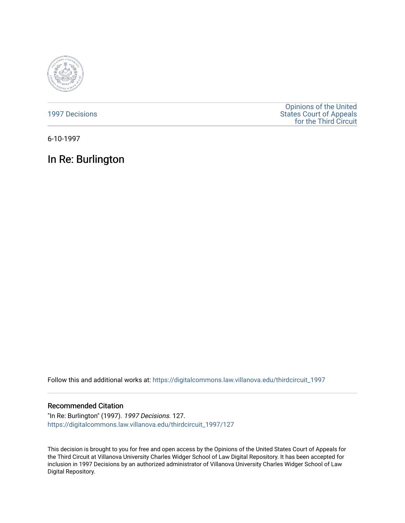

[1997 Decisions](https://digitalcommons.law.villanova.edu/thirdcircuit_1997)

[Opinions of the United](https://digitalcommons.law.villanova.edu/thirdcircuit)  [States Court of Appeals](https://digitalcommons.law.villanova.edu/thirdcircuit)  [for the Third Circuit](https://digitalcommons.law.villanova.edu/thirdcircuit) 

6-10-1997

# In Re: Burlington

Follow this and additional works at: [https://digitalcommons.law.villanova.edu/thirdcircuit\\_1997](https://digitalcommons.law.villanova.edu/thirdcircuit_1997?utm_source=digitalcommons.law.villanova.edu%2Fthirdcircuit_1997%2F127&utm_medium=PDF&utm_campaign=PDFCoverPages) 

# Recommended Citation

"In Re: Burlington" (1997). 1997 Decisions. 127. [https://digitalcommons.law.villanova.edu/thirdcircuit\\_1997/127](https://digitalcommons.law.villanova.edu/thirdcircuit_1997/127?utm_source=digitalcommons.law.villanova.edu%2Fthirdcircuit_1997%2F127&utm_medium=PDF&utm_campaign=PDFCoverPages)

This decision is brought to you for free and open access by the Opinions of the United States Court of Appeals for the Third Circuit at Villanova University Charles Widger School of Law Digital Repository. It has been accepted for inclusion in 1997 Decisions by an authorized administrator of Villanova University Charles Widger School of Law Digital Repository.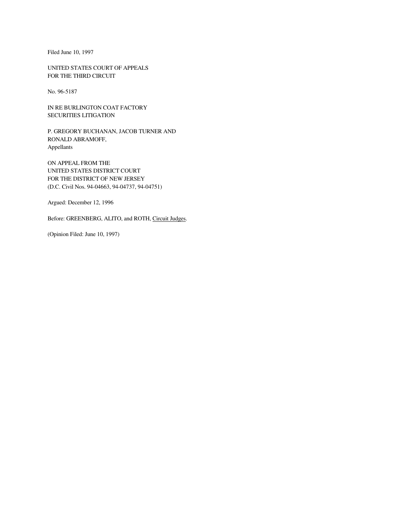Filed June 10, 1997

UNITED STATES COURT OF APPEALS FOR THE THIRD CIRCUIT

No. 96-5187

IN RE BURLINGTON COAT FACTORY SECURITIES LITIGATION

P. GREGORY BUCHANAN, JACOB TURNER AND RONALD ABRAMOFF, Appellants

ON APPEAL FROM THE UNITED STATES DISTRICT COURT FOR THE DISTRICT OF NEW JERSEY (D.C. Civil Nos. 94-04663, 94-04737, 94-04751)

Argued: December 12, 1996

Before: GREENBERG, ALITO, and ROTH, Circuit Judges.

(Opinion Filed: June 10, 1997)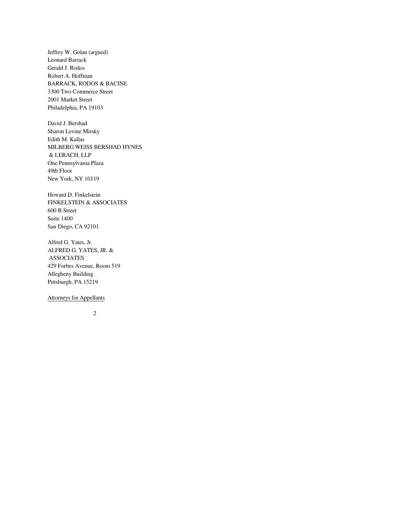Jeffrey W. Golan (argued) Leonard Barrack Gerald J. Rodos Robert A. Hoffman BARRACK, RODOS & BACINE 3300 Two Commerce Street 2001 Market Street Philadelphia, PA 19103

David J. Bershad Sharon Levine Mirsky Edith M. Kallas MILBERG WEISS BERSHAD HYNES & LERACH, LLP One Pennsylvania Plaza 49th Floor New York, NY 10119

Howard D. Finkelstein FINKELSTEIN & ASSOCIATES 600 B Street Suite 1400 San Diego, CA 92101

Alfred G. Yates, Jr. ALFRED G. YATES, JR. & ASSOCIATES 429 Forbes Avenue, Room 519 Allegheny Building Pittsburgh, PA 15219

# Attorneys for Appellants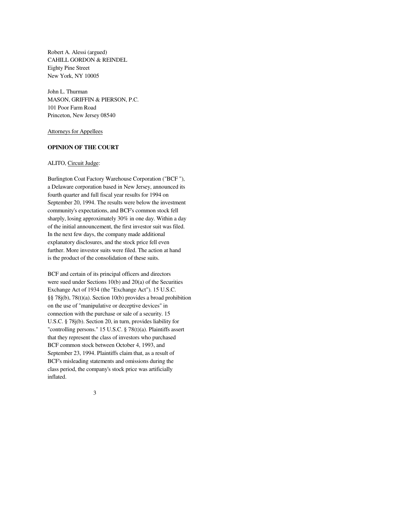Robert A. Alessi (argued) CAHILL GORDON & REINDEL Eighty Pine Street New York, NY 10005

John L. Thurman MASON, GRIFFIN & PIERSON, P.C. 101 Poor Farm Road Princeton, New Jersey 08540

Attorneys for Appellees

# **OPINION OF THE COURT**

# ALITO, Circuit Judge:

Burlington Coat Factory Warehouse Corporation ("BCF "), a Delaware corporation based in New Jersey, announced its fourth quarter and full fiscal year results for 1994 on September 20, 1994. The results were below the investment community's expectations, and BCF's common stock fell sharply, losing approximately 30% in one day. Within a day of the initial announcement, the first investor suit was filed. In the next few days, the company made additional explanatory disclosures, and the stock price fell even further. More investor suits were filed. The action at hand is the product of the consolidation of these suits.

BCF and certain of its principal officers and directors were sued under Sections 10(b) and 20(a) of the Securities Exchange Act of 1934 (the "Exchange Act"). 15 U.S.C. §§ 78j(b), 78(t)(a). Section 10(b) provides a broad prohibition on the use of "manipulative or deceptive devices" in connection with the purchase or sale of a security. 15 U.S.C. § 78j(b). Section 20, in turn, provides liability for "controlling persons." 15 U.S.C. § 78(t)(a). Plaintiffs assert that they represent the class of investors who purchased BCF common stock between October 4, 1993, and September 23, 1994. Plaintiffs claim that, as a result of BCF's misleading statements and omissions during the class period, the company's stock price was artificially inflated.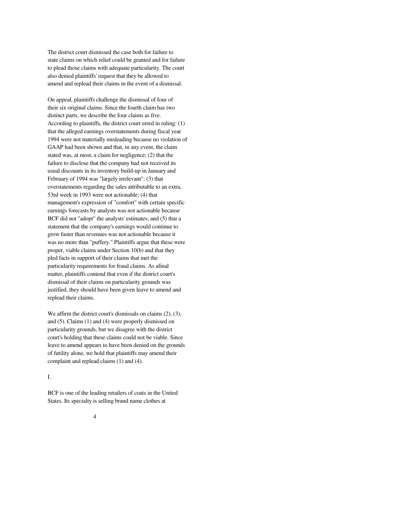The district court dismissed the case both for failure to state claims on which relief could be granted and for failure to plead those claims with adequate particularity. The court also denied plaintiffs' request that they be allowed to amend and replead their claims in the event of a dismissal.

On appeal, plaintiffs challenge the dismissal of four of their six original claims. Since the fourth claim has two distinct parts, we describe the four claims as five. According to plaintiffs, the district court erred in ruling: (1) that the alleged earnings overstatements during fiscal year 1994 were not materially misleading because no violation of GAAP had been shown and that, in any event, the claim stated was, at most, a claim for negligence; (2) that the failure to disclose that the company had not received its usual discounts in its inventory build-up in January and February of 1994 was "largely irrelevant"; (3) that overstatements regarding the sales attributable to an extra, 53rd week in 1993 were not actionable; (4) that management's expression of "comfort" with certain specific earnings forecasts by analysts was not actionable because BCF did not "adopt" the analysts' estimates; and (5) that a statement that the company's earnings would continue to grow faster than revenues was not actionable because it was no more than "puffery." Plaintiffs argue that these were proper, viable claims under Section 10(b) and that they pled facts in support of their claims that met the particularity requirements for fraud claims. As afinal matter, plaintiffs contend that even if the district court's dismissal of their claims on particularity grounds was justified, they should have been given leave to amend and replead their claims.

We affirm the district court's dismissals on claims (2), (3), and (5). Claims (1) and (4) were properly dismissed on particularity grounds, but we disagree with the district court's holding that these claims could not be viable. Since leave to amend appears to have been denied on the grounds of futility alone, we hold that plaintiffs may amend their complaint and replead claims (1) and (4).

# I.

BCF is one of the leading retailers of coats in the United States. Its specialty is selling brand name clothes at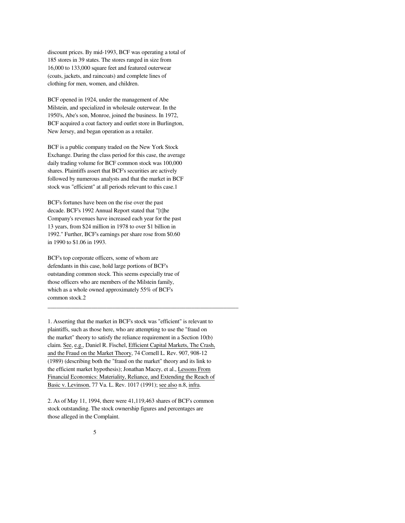discount prices. By mid-1993, BCF was operating a total of 185 stores in 39 states. The stores ranged in size from 16,000 to 133,000 square feet and featured outerwear (coats, jackets, and raincoats) and complete lines of clothing for men, women, and children.

BCF opened in 1924, under the management of Abe Milstein, and specialized in wholesale outerwear. In the 1950's, Abe's son, Monroe, joined the business. In 1972, BCF acquired a coat factory and outlet store in Burlington, New Jersey, and began operation as a retailer.

BCF is a public company traded on the New York Stock Exchange. During the class period for this case, the average daily trading volume for BCF common stock was 100,000 shares. Plaintiffs assert that BCF's securities are actively followed by numerous analysts and that the market in BCF stock was "efficient" at all periods relevant to this case.1

BCF's fortunes have been on the rise over the past decade. BCF's 1992 Annual Report stated that "[t]he Company's revenues have increased each year for the past 13 years, from \$24 million in 1978 to over \$1 billion in 1992." Further, BCF's earnings per share rose from \$0.60 in 1990 to \$1.06 in 1993.

BCF's top corporate officers, some of whom are defendants in this case, hold large portions of BCF's outstanding common stock. This seems especially true of those officers who are members of the Milstein family, which as a whole owned approximately 55% of BCF's common stock.2

1. Asserting that the market in BCF's stock was "efficient" is relevant to plaintiffs, such as those here, who are attempting to use the "fraud on the market" theory to satisfy the reliance requirement in a Section 10(b) claim. See, e.g., Daniel R. Fischel, Efficient Capital Markets, The Crash, and the Fraud on the Market Theory, 74 Cornell L. Rev. 907, 908-12 (1989) (describing both the "fraud on the market" theory and its link to the efficient market hypothesis); Jonathan Macey, et al., Lessons From Financial Economics: Materiality, Reliance, and Extending the Reach of Basic v. Levinson, 77 Va. L. Rev. 1017 (1991); see also n.8, infra.

\_\_\_\_\_\_\_\_\_\_\_\_\_\_\_\_\_\_\_\_\_\_\_\_\_\_\_\_\_\_\_\_\_\_\_\_\_\_\_\_\_\_\_\_\_\_\_\_\_\_\_\_\_\_\_\_\_\_\_\_\_\_\_\_\_

2. As of May 11, 1994, there were 41,119,463 shares of BCF's common stock outstanding. The stock ownership figures and percentages are those alleged in the Complaint.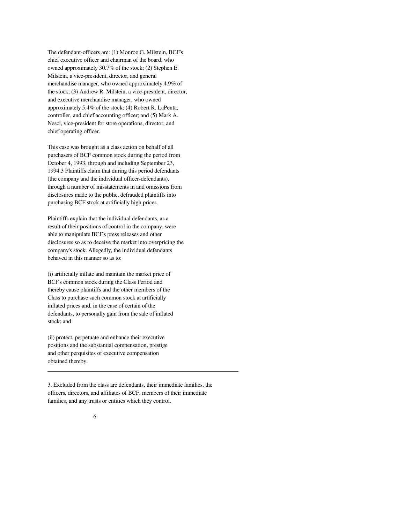The defendant-officers are: (1) Monroe G. Milstein, BCF's chief executive officer and chairman of the board, who owned approximately 30.7% of the stock; (2) Stephen E. Milstein, a vice-president, director, and general merchandise manager, who owned approximately 4.9% of the stock; (3) Andrew R. Milstein, a vice-president, director, and executive merchandise manager, who owned approximately 5.4% of the stock; (4) Robert R. LaPenta, controller, and chief accounting officer; and (5) Mark A. Nesci, vice-president for store operations, director, and chief operating officer.

This case was brought as a class action on behalf of all purchasers of BCF common stock during the period from October 4, 1993, through and including September 23, 1994.3 Plaintiffs claim that during this period defendants (the company and the individual officer-defendants), through a number of misstatements in and omissions from disclosures made to the public, defrauded plaintiffs into purchasing BCF stock at artificially high prices.

Plaintiffs explain that the individual defendants, as a result of their positions of control in the company, were able to manipulate BCF's press releases and other disclosures so as to deceive the market into overpricing the company's stock. Allegedly, the individual defendants behaved in this manner so as to:

(i) artificially inflate and maintain the market price of BCF's common stock during the Class Period and thereby cause plaintiffs and the other members of the Class to purchase such common stock at artificially inflated prices and, in the case of certain of the defendants, to personally gain from the sale of inflated stock; and

(ii) protect, perpetuate and enhance their executive positions and the substantial compensation, prestige and other perquisites of executive compensation obtained thereby.

3. Excluded from the class are defendants, their immediate families, the officers, directors, and affiliates of BCF, members of their immediate families, and any trusts or entities which they control.

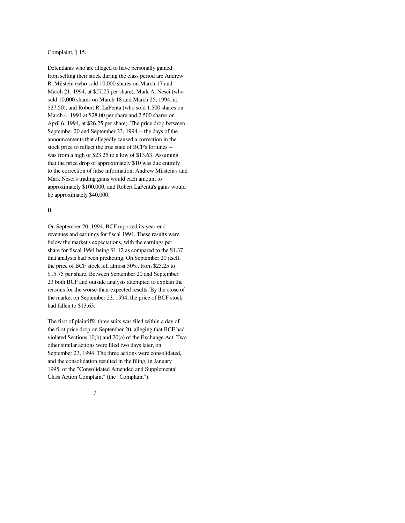## Complaint, ¶ 15.

Defendants who are alleged to have personally gained from selling their stock during the class period are Andrew R. Milstein (who sold 10,000 shares on March 17 and March 21, 1994, at \$27.75 per share), Mark A. Nesci (who sold 10,000 shares on March 18 and March 25, 1994, at \$27.50), and Robert R. LaPenta (who sold 1,500 shares on March 4, 1994 at \$28.00 per share and 2,500 shares on April 6, 1994, at \$26.25 per share). The price drop between September 20 and September 23, 1994 -- the days of the announcements that allegedly caused a correction in the stock price to reflect the true state of BCF's fortunes - was from a high of \$23.25 to a low of \$13.63. Assuming that the price drop of approximately \$10 was due entirely to the correction of false information, Andrew Milstein's and Mark Nesci's trading gains would each amount to approximately \$100,000, and Robert LaPenta's gains would be approximately \$40,000.

# II.

On September 20, 1994, BCF reported its year-end revenues and earnings for fiscal 1994. These results were below the market's expectations, with the earnings per share for fiscal 1994 being \$1.12 as compared to the \$1.37 that analysts had been predicting. On September 20 itself, the price of BCF stock fell almost 30%, from \$23.25 to \$15.75 per share. Between September 20 and September 23 both BCF and outside analysts attempted to explain the reasons for the worse-than-expected results. By the close of the market on September 23, 1994, the price of BCF stock had fallen to \$13.63.

The first of plaintiffs' three suits was filed within a day of the first price drop on September 20, alleging that BCF had violated Sections 10(b) and 20(a) of the Exchange Act. Two other similar actions were filed two days later, on September 23, 1994. The three actions were consolidated, and the consolidation resulted in the filing, in January 1995, of the "Consolidated Amended and Supplemental Class Action Complaint" (the "Complaint").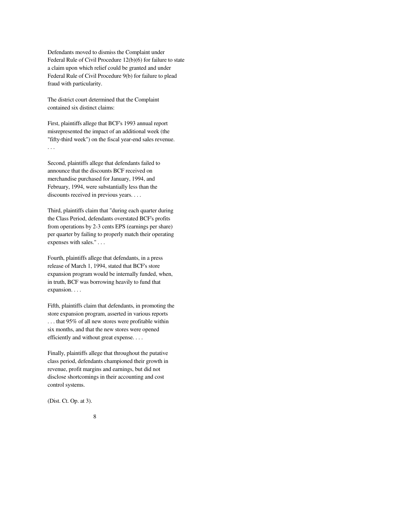Defendants moved to dismiss the Complaint under Federal Rule of Civil Procedure 12(b)(6) for failure to state a claim upon which relief could be granted and under Federal Rule of Civil Procedure 9(b) for failure to plead fraud with particularity.

The district court determined that the Complaint contained six distinct claims:

First, plaintiffs allege that BCF's 1993 annual report misrepresented the impact of an additional week (the "fifty-third week") on the fiscal year-end sales revenue. . . .

Second, plaintiffs allege that defendants failed to announce that the discounts BCF received on merchandise purchased for January, 1994, and February, 1994, were substantially less than the discounts received in previous years. . . .

Third, plaintiffs claim that "during each quarter during the Class Period, defendants overstated BCF's profits from operations by 2-3 cents EPS (earnings per share) per quarter by failing to properly match their operating expenses with sales." . . .

Fourth, plaintiffs allege that defendants, in a press release of March 1, 1994, stated that BCF's store expansion program would be internally funded, when, in truth, BCF was borrowing heavily to fund that expansion. . . .

Fifth, plaintiffs claim that defendants, in promoting the store expansion program, asserted in various reports . . . that 95% of all new stores were profitable within six months, and that the new stores were opened efficiently and without great expense. . . .

Finally, plaintiffs allege that throughout the putative class period, defendants championed their growth in revenue, profit margins and earnings, but did not disclose shortcomings in their accounting and cost control systems.

(Dist. Ct. Op. at 3).

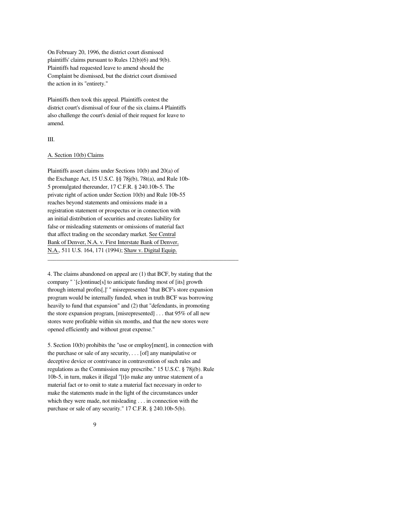On February 20, 1996, the district court dismissed plaintiffs' claims pursuant to Rules 12(b)(6) and 9(b). Plaintiffs had requested leave to amend should the Complaint be dismissed, but the district court dismissed the action in its "entirety."

Plaintiffs then took this appeal. Plaintiffs contest the district court's dismissal of four of the six claims.4 Plaintiffs also challenge the court's denial of their request for leave to amend.

#### III.

## A. Section 10(b) Claims

Plaintiffs assert claims under Sections 10(b) and 20(a) of the Exchange Act, 15 U.S.C. §§ 78j(b), 78t(a), and Rule 10b-5 promulgated thereunder, 17 C.F.R. § 240.10b-5. The private right of action under Section 10(b) and Rule 10b-55 reaches beyond statements and omissions made in a registration statement or prospectus or in connection with an initial distribution of securities and creates liability for false or misleading statements or omissions of material fact that affect trading on the secondary market. See Central Bank of Denver, N.A. v. First Interstate Bank of Denver, N.A., 511 U.S. 164, 171 (1994); Shaw v. Digital Equip.

4. The claims abandoned on appeal are (1) that BCF, by stating that the company " `[c]ontinue[s] to anticipate funding most of [its] growth through internal profits[,]' " misrepresented "that BCF's store expansion program would be internally funded, when in truth BCF was borrowing heavily to fund that expansion" and (2) that "defendants, in promoting the store expansion program, [misrepresented] . . . that 95% of all new stores were profitable within six months, and that the new stores were opened efficiently and without great expense."

\_\_\_\_\_\_\_\_\_\_\_\_\_\_\_\_\_\_\_\_\_\_\_\_\_\_\_\_\_\_\_\_\_\_\_\_\_\_\_\_\_\_\_\_\_\_\_\_\_\_\_\_\_\_\_\_\_\_\_\_\_\_\_\_\_

5. Section 10(b) prohibits the "use or employ[ment], in connection with the purchase or sale of any security, . . . [of] any manipulative or deceptive device or contrivance in contravention of such rules and regulations as the Commission may prescribe." 15 U.S.C. § 78j(b). Rule 10b-5, in turn, makes it illegal "[t]o make any untrue statement of a material fact or to omit to state a material fact necessary in order to make the statements made in the light of the circumstances under which they were made, not misleading . . . in connection with the purchase or sale of any security." 17 C.F.R. § 240.10b-5(b).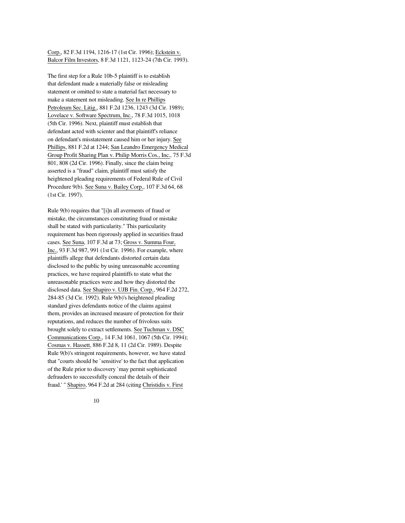Corp., 82 F.3d 1194, 1216-17 (1st Cir. 1996); Eckstein v. Balcor Film Investors, 8 F.3d 1121, 1123-24 (7th Cir. 1993).

The first step for a Rule 10b-5 plaintiff is to establish that defendant made a materially false or misleading statement or omitted to state a material fact necessary to make a statement not misleading. See In re Phillips Petroleum Sec. Litig., 881 F.2d 1236, 1243 (3d Cir. 1989); Lovelace v. Software Spectrum, Inc., 78 F.3d 1015, 1018 (5th Cir. 1996). Next, plaintiff must establish that defendant acted with scienter and that plaintiff's reliance on defendant's misstatement caused him or her injury. See Phillips, 881 F.2d at 1244; San Leandro Emergency Medical Group Profit Sharing Plan v. Philip Morris Cos., Inc., 75 F.3d 801, 808 (2d Cir. 1996). Finally, since the claim being asserted is a "fraud" claim, plaintiff must satisfy the heightened pleading requirements of Federal Rule of Civil Procedure 9(b). See Suna v. Bailey Corp., 107 F.3d 64, 68 (1st Cir. 1997).

Rule 9(b) requires that "[i]n all averments of fraud or mistake, the circumstances constituting fraud or mistake shall be stated with particularity." This particularity requirement has been rigorously applied in securities fraud cases. See Suna, 107 F.3d at 73; Gross v. Summa Four, Inc., 93 F.3d 987, 991 (1st Cir. 1996). For example, where plaintiffs allege that defendants distorted certain data disclosed to the public by using unreasonable accounting practices, we have required plaintiffs to state what the unreasonable practices were and how they distorted the disclosed data. See Shapiro v. UJB Fin. Corp., 964 F.2d 272, 284-85 (3d Cir. 1992). Rule 9(b)'s heightened pleading standard gives defendants notice of the claims against them, provides an increased measure of protection for their reputations, and reduces the number of frivolous suits brought solely to extract settlements. See Tuchman v. DSC Communications Corp., 14 F.3d 1061, 1067 (5th Cir. 1994); Cosmas v. Hassett, 886 F.2d 8, 11 (2d Cir. 1989). Despite Rule 9(b)'s stringent requirements, however, we have stated that "courts should be `sensitive' to the fact that application of the Rule prior to discovery `may permit sophisticated defrauders to successfully conceal the details of their fraud.' " Shapiro, 964 F.2d at 284 (citing Christidis v. First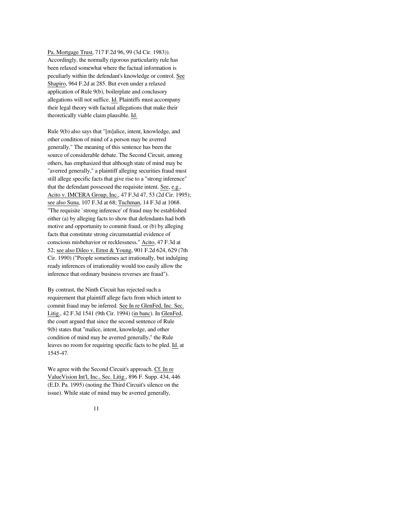Pa. Mortgage Trust, 717 F.2d 96, 99 (3d Cir. 1983)). Accordingly, the normally rigorous particularity rule has been relaxed somewhat where the factual information is peculiarly within the defendant's knowledge or control. See Shapiro, 964 F.2d at 285. But even under a relaxed application of Rule 9(b), boilerplate and conclusory allegations will not suffice. Id. Plaintiffs must accompany their legal theory with factual allegations that make their theoretically viable claim plausible. Id.

Rule 9(b) also says that "[m]alice, intent, knowledge, and other condition of mind of a person may be averred generally." The meaning of this sentence has been the source of considerable debate. The Second Circuit, among others, has emphasized that although state of mind may be "averred generally," a plaintiff alleging securities fraud must still allege specific facts that give rise to a "strong inference" that the defendant possessed the requisite intent. See, e.g., Acito v. IMCERA Group, Inc., 47 F.3d 47, 53 (2d Cir. 1995); see also Suna, 107 F.3d at 68; Tuchman, 14 F.3d at 1068. "The requisite `strong inference' of fraud may be established either (a) by alleging facts to show that defendants had both motive and opportunity to commit fraud, or (b) by alleging facts that constitute strong circumstantial evidence of conscious misbehavior or recklessness." Acito, 47 F.3d at 52; see also Dileo v. Ernst & Young, 901 F.2d 624, 629 (7th Cir. 1990) ("People sometimes act irrationally, but indulging ready inferences of irrationality would too easily allow the inference that ordinary business reverses are fraud").

By contrast, the Ninth Circuit has rejected such a requirement that plaintiff allege facts from which intent to commit fraud may be inferred. See In re GlenFed, Inc. Sec. Litig., 42 F.3d 1541 (9th Cir. 1994) (in banc). In GlenFed, the court argued that since the second sentence of Rule 9(b) states that "malice, intent, knowledge, and other condition of mind may be averred generally," the Rule leaves no room for requiring specific facts to be pled. Id. at 1545-47.

We agree with the Second Circuit's approach. Cf. In re ValueVision Int'l, Inc., Sec. Litig., 896 F. Supp. 434, 446 (E.D. Pa. 1995) (noting the Third Circuit's silence on the issue). While state of mind may be averred generally,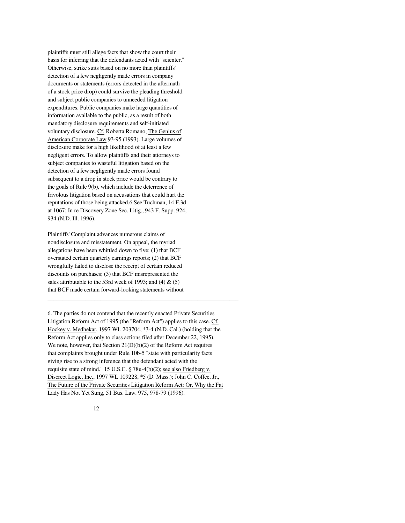plaintiffs must still allege facts that show the court their basis for inferring that the defendants acted with "scienter." Otherwise, strike suits based on no more than plaintiffs' detection of a few negligently made errors in company documents or statements (errors detected in the aftermath of a stock price drop) could survive the pleading threshold and subject public companies to unneeded litigation expenditures. Public companies make large quantities of information available to the public, as a result of both mandatory disclosure requirements and self-initiated voluntary disclosure. Cf. Roberta Romano, The Genius of American Corporate Law 93-95 (1993). Large volumes of disclosure make for a high likelihood of at least a few negligent errors. To allow plaintiffs and their attorneys to subject companies to wasteful litigation based on the detection of a few negligently made errors found subsequent to a drop in stock price would be contrary to the goals of Rule 9(b), which include the deterrence of frivolous litigation based on accusations that could hurt the reputations of those being attacked.6 See Tuchman, 14 F.3d at 1067; In re Discovery Zone Sec. Litig., 943 F. Supp. 924, 934 (N.D. Ill. 1996).

Plaintiffs' Complaint advances numerous claims of nondisclosure and misstatement. On appeal, the myriad allegations have been whittled down to five: (1) that BCF overstated certain quarterly earnings reports; (2) that BCF wrongfully failed to disclose the receipt of certain reduced discounts on purchases; (3) that BCF misrepresented the sales attributable to the 53rd week of 1993; and  $(4)$  &  $(5)$ that BCF made certain forward-looking statements without

6. The parties do not contend that the recently enacted Private Securities Litigation Reform Act of 1995 (the "Reform Act") applies to this case. Cf. Hockey v. Medhekar, 1997 WL 203704, \*3-4 (N.D. Cal.) (holding that the Reform Act applies only to class actions filed after December 22, 1995). We note, however, that Section 21(D)(b)(2) of the Reform Act requires that complaints brought under Rule 10b-5 "state with particularity facts giving rise to a strong inference that the defendant acted with the requisite state of mind." 15 U.S.C. § 78u-4(b)(2); see also Friedberg v. Discreet Logic, Inc., 1997 WL 109228, \*5 (D. Mass.); John C. Coffee, Jr., The Future of the Private Securities Litigation Reform Act: Or, Why the Fat Lady Has Not Yet Sung, 51 Bus. Law. 975, 978-79 (1996).

\_\_\_\_\_\_\_\_\_\_\_\_\_\_\_\_\_\_\_\_\_\_\_\_\_\_\_\_\_\_\_\_\_\_\_\_\_\_\_\_\_\_\_\_\_\_\_\_\_\_\_\_\_\_\_\_\_\_\_\_\_\_\_\_\_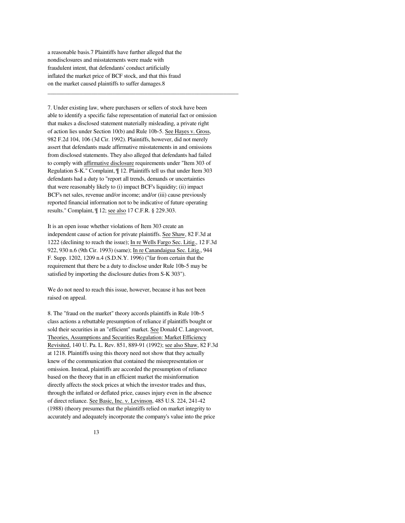a reasonable basis.7 Plaintiffs have further alleged that the nondisclosures and misstatements were made with fraudulent intent, that defendants' conduct artificially inflated the market price of BCF stock, and that this fraud on the market caused plaintiffs to suffer damages.8

7. Under existing law, where purchasers or sellers of stock have been able to identify a specific false representation of material fact or omission that makes a disclosed statement materially misleading, a private right of action lies under Section 10(b) and Rule 10b-5. See Hayes v. Gross, 982 F.2d 104, 106 (3d Cir. 1992). Plaintiffs, however, did not merely assert that defendants made affirmative misstatements in and omissions from disclosed statements. They also alleged that defendants had failed to comply with affirmative disclosure requirements under "Item 303 of Regulation S-K." Complaint, ¶ 12. Plaintiffs tell us that under Item 303 defendants had a duty to "report all trends, demands or uncertainties that were reasonably likely to (i) impact BCF's liquidity; (ii) impact BCF's net sales, revenue and/or income; and/or (iii) cause previously reported financial information not to be indicative of future operating results." Complaint, ¶ 12; see also 17 C.F.R. § 229.303.

\_\_\_\_\_\_\_\_\_\_\_\_\_\_\_\_\_\_\_\_\_\_\_\_\_\_\_\_\_\_\_\_\_\_\_\_\_\_\_\_\_\_\_\_\_\_\_\_\_\_\_\_\_\_\_\_\_\_\_\_\_\_\_\_\_

It is an open issue whether violations of Item 303 create an independent cause of action for private plaintiffs. See Shaw, 82 F.3d at 1222 (declining to reach the issue); In re Wells Fargo Sec. Litig., 12 F.3d 922, 930 n.6 (9th Cir. 1993) (same); In re Canandaigua Sec. Litig., 944 F. Supp. 1202, 1209 n.4 (S.D.N.Y. 1996) ("far from certain that the requirement that there be a duty to disclose under Rule 10b-5 may be satisfied by importing the disclosure duties from S-K 303").

We do not need to reach this issue, however, because it has not been raised on appeal.

8. The "fraud on the market" theory accords plaintiffs in Rule 10b-5 class actions a rebuttable presumption of reliance if plaintiffs bought or sold their securities in an "efficient" market. See Donald C. Langevoort, Theories, Assumptions and Securities Regulation: Market Efficiency Revisited, 140 U. Pa. L. Rev. 851, 889-91 (1992); see also Shaw, 82 F.3d at 1218. Plaintiffs using this theory need not show that they actually knew of the communication that contained the misrepresentation or omission. Instead, plaintiffs are accorded the presumption of reliance based on the theory that in an efficient market the misinformation directly affects the stock prices at which the investor trades and thus, through the inflated or deflated price, causes injury even in the absence of direct reliance. See Basic, Inc. v. Levinson, 485 U.S. 224, 241-42 (1988) (theory presumes that the plaintiffs relied on market integrity to accurately and adequately incorporate the company's value into the price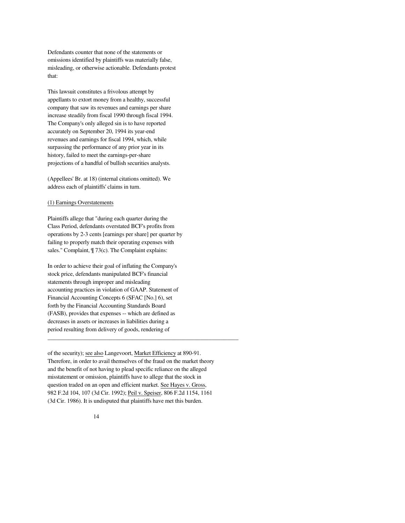Defendants counter that none of the statements or omissions identified by plaintiffs was materially false, misleading, or otherwise actionable. Defendants protest that:

This lawsuit constitutes a frivolous attempt by appellants to extort money from a healthy, successful company that saw its revenues and earnings per share increase steadily from fiscal 1990 through fiscal 1994. The Company's only alleged sin is to have reported accurately on September 20, 1994 its year-end revenues and earnings for fiscal 1994, which, while surpassing the performance of any prior year in its history, failed to meet the earnings-per-share projections of a handful of bullish securities analysts.

(Appellees' Br. at 18) (internal citations omitted). We address each of plaintiffs' claims in turn.

# (1) Earnings Overstatements

Plaintiffs allege that "during each quarter during the Class Period, defendants overstated BCF's profits from operations by 2-3 cents [earnings per share] per quarter by failing to properly match their operating expenses with sales." Complaint,  $\P$  73(c). The Complaint explains:

In order to achieve their goal of inflating the Company's stock price, defendants manipulated BCF's financial statements through improper and misleading accounting practices in violation of GAAP. Statement of Financial Accounting Concepts 6 (SFAC [No.] 6), set forth by the Financial Accounting Standards Board (FASB), provides that expenses -- which are defined as decreases in assets or increases in liabilities during a period resulting from delivery of goods, rendering of

of the security); see also Langevoort, Market Efficiency at 890-91. Therefore, in order to avail themselves of the fraud on the market theory and the benefit of not having to plead specific reliance on the alleged misstatement or omission, plaintiffs have to allege that the stock in question traded on an open and efficient market. See Hayes v. Gross, 982 F.2d 104, 107 (3d Cir. 1992); Peil v. Speiser, 806 F.2d 1154, 1161 (3d Cir. 1986). It is undisputed that plaintiffs have met this burden.

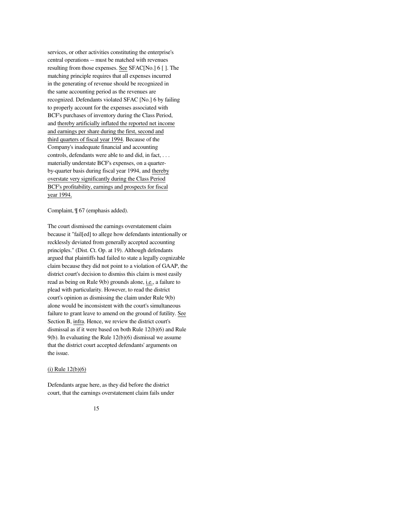services, or other activities constituting the enterprise's central operations -- must be matched with revenues resulting from those expenses. See SFAC[No.] 6 [ ]. The matching principle requires that all expenses incurred in the generating of revenue should be recognized in the same accounting period as the revenues are recognized. Defendants violated SFAC [No.] 6 by failing to properly account for the expenses associated with BCF's purchases of inventory during the Class Period, and thereby artificially inflated the reported net income and earnings per share during the first, second and third quarters of fiscal year 1994. Because of the Company's inadequate financial and accounting controls, defendants were able to and did, in fact, . . . materially understate BCF's expenses, on a quarterby-quarter basis during fiscal year 1994, and thereby overstate very significantly during the Class Period BCF's profitability, earnings and prospects for fiscal year 1994.

Complaint, ¶ 67 (emphasis added).

The court dismissed the earnings overstatement claim because it "fail[ed] to allege how defendants intentionally or recklessly deviated from generally accepted accounting principles." (Dist. Ct. Op. at 19). Although defendants argued that plaintiffs had failed to state a legally cognizable claim because they did not point to a violation of GAAP, the district court's decision to dismiss this claim is most easily read as being on Rule 9(b) grounds alone, i.e., a failure to plead with particularity. However, to read the district court's opinion as dismissing the claim under Rule 9(b) alone would be inconsistent with the court's simultaneous failure to grant leave to amend on the ground of futility. See Section B, infra. Hence, we review the district court's dismissal as if it were based on both Rule 12(b)(6) and Rule 9(b). In evaluating the Rule 12(b)(6) dismissal we assume that the district court accepted defendants' arguments on the issue.

## (i) Rule 12(b)(6)

Defendants argue here, as they did before the district court, that the earnings overstatement claim fails under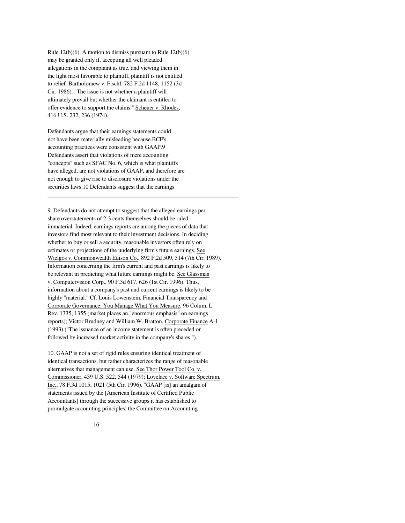Rule 12(b)(6). A motion to dismiss pursuant to Rule 12(b)(6) may be granted only if, accepting all well pleaded allegations in the complaint as true, and viewing them in the light most favorable to plaintiff, plaintiff is not entitled to relief. Bartholomew v. Fischl, 782 F.2d 1148, 1152 (3d Cir. 1986). "The issue is not whether a plaintiff will ultimately prevail but whether the claimant is entitled to offer evidence to support the claims." Scheuer v. Rhodes, 416 U.S. 232, 236 (1974).

Defendants argue that their earnings statements could not have been materially misleading because BCF's accounting practices were consistent with GAAP.9 Defendants assert that violations of mere accounting "concepts" such as SFAC No. 6, which is what plaintiffs have alleged, are not violations of GAAP, and therefore are not enough to give rise to disclosure violations under the securities laws.10 Defendants suggest that the earnings

9. Defendants do not attempt to suggest that the alleged earnings per share overstatements of 2-3 cents themselves should be ruled immaterial. Indeed, earnings reports are among the pieces of data that investors find most relevant to their investment decisions. In deciding whether to buy or sell a security, reasonable investors often rely on estimates or projections of the underlying firm's future earnings. See Wielgos v. Commonwealth Edison Co., 892 F.2d 509, 514 (7th Cir. 1989). Information concerning the firm's current and past earnings is likely to be relevant in predicting what future earnings might be. See Glassman v. Computervision Corp., 90 F.3d 617, 626 (1st Cir. 1996). Thus, information about a company's past and current earnings is likely to be highly "material." Cf. Louis Lowenstein, Financial Transparency and Corporate Governance: You Manage What You Measure, 96 Colum. L. Rev. 1335, 1355 (market places an "enormous emphasis" on earnings reports); Victor Brudney and William W. Bratton, Corporate Finance A-1 (1993) ("The issuance of an income statement is often preceded or followed by increased market activity in the company's shares.").

\_\_\_\_\_\_\_\_\_\_\_\_\_\_\_\_\_\_\_\_\_\_\_\_\_\_\_\_\_\_\_\_\_\_\_\_\_\_\_\_\_\_\_\_\_\_\_\_\_\_\_\_\_\_\_\_\_\_\_\_\_\_\_\_\_

10. GAAP is not a set of rigid rules ensuring identical treatment of identical transactions, but rather characterizes the range of reasonable alternatives that management can use. See Thor Power Tool Co. v. Commissioner, 439 U.S. 522, 544 (1979); Lovelace v. Software Spectrum, Inc., 78 F.3d 1015, 1021 (5th Cir. 1996). "GAAP [is] an amalgam of statements issued by the [American Institute of Certified Public Accountants] through the successive groups it has established to promulgate accounting principles: the Committee on Accounting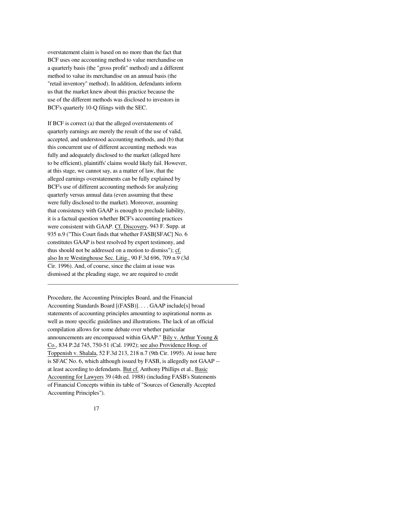overstatement claim is based on no more than the fact that BCF uses one accounting method to value merchandise on a quarterly basis (the "gross profit" method) and a different method to value its merchandise on an annual basis (the "retail inventory" method). In addition, defendants inform us that the market knew about this practice because the use of the different methods was disclosed to investors in BCF's quarterly 10-Q filings with the SEC.

If BCF is correct (a) that the alleged overstatements of quarterly earnings are merely the result of the use of valid, accepted, and understood accounting methods, and (b) that this concurrent use of different accounting methods was fully and adequately disclosed to the market (alleged here to be efficient), plaintiffs' claims would likely fail. However, at this stage, we cannot say, as a matter of law, that the alleged earnings overstatements can be fully explained by BCF's use of different accounting methods for analyzing quarterly versus annual data (even assuming that these were fully disclosed to the market). Moreover, assuming that consistency with GAAP is enough to preclude liability, it is a factual question whether BCF's accounting practices were consistent with GAAP. Cf. Discovery, 943 F. Supp. at 935 n.9 ("This Court finds that whether FASB[SFAC] No. 6 constitutes GAAP is best resolved by expert testimony, and thus should not be addressed on a motion to dismiss"); cf. also In re Westinghouse Sec. Litig., 90 F.3d 696, 709 n.9 (3d Cir. 1996). And, of course, since the claim at issue was dismissed at the pleading stage, we are required to credit

Procedure, the Accounting Principles Board, and the Financial Accounting Standards Board [(FASB)]. . . . GAAP include[s] broad statements of accounting principles amounting to aspirational norms as well as more specific guidelines and illustrations. The lack of an official compilation allows for some debate over whether particular announcements are encompassed within GAAP." Bily v. Arthur Young & Co., 834 P.2d 745, 750-51 (Cal. 1992); see also Providence Hosp. of Toppenish v. Shalala, 52 F.3d 213, 218 n.7 (9th Cir. 1995). At issue here is SFAC No. 6, which although issued by FASB, is allegedly not GAAP - at least according to defendants. But cf. Anthony Phillips et al., Basic Accounting for Lawyers 39 (4th ed. 1988) (including FASB's Statements of Financial Concepts within its table of "Sources of Generally Accepted Accounting Principles").

\_\_\_\_\_\_\_\_\_\_\_\_\_\_\_\_\_\_\_\_\_\_\_\_\_\_\_\_\_\_\_\_\_\_\_\_\_\_\_\_\_\_\_\_\_\_\_\_\_\_\_\_\_\_\_\_\_\_\_\_\_\_\_\_\_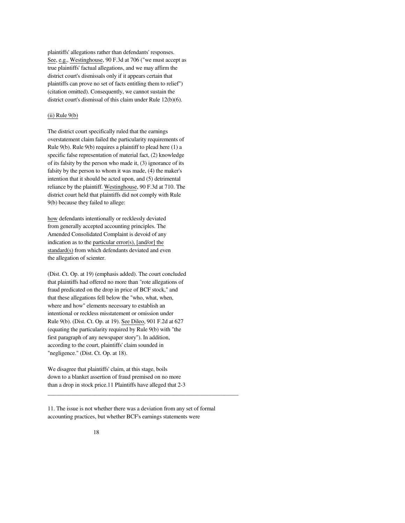plaintiffs' allegations rather than defendants' responses. See, e.g., Westinghouse, 90 F.3d at 706 ("we must accept as true plaintiffs' factual allegations, and we may affirm the district court's dismissals only if it appears certain that plaintiffs can prove no set of facts entitling them to relief") (citation omitted). Consequently, we cannot sustain the district court's dismissal of this claim under Rule 12(b)(6).

# $(ii)$  Rule  $9(b)$

The district court specifically ruled that the earnings overstatement claim failed the particularity requirements of Rule 9(b). Rule 9(b) requires a plaintiff to plead here (1) a specific false representation of material fact, (2) knowledge of its falsity by the person who made it, (3) ignorance of its falsity by the person to whom it was made, (4) the maker's intention that it should be acted upon, and (5) detrimental reliance by the plaintiff. Westinghouse, 90 F.3d at 710. The district court held that plaintiffs did not comply with Rule 9(b) because they failed to allege:

how defendants intentionally or recklessly deviated from generally accepted accounting principles. The Amended Consolidated Complaint is devoid of any indication as to the particular error(s), [and/or] the standard(s) from which defendants deviated and even the allegation of scienter.

(Dist. Ct. Op. at 19) (emphasis added). The court concluded that plaintiffs had offered no more than "rote allegations of fraud predicated on the drop in price of BCF stock," and that these allegations fell below the "who, what, when, where and how" elements necessary to establish an intentional or reckless misstatement or omission under Rule 9(b). (Dist. Ct. Op. at 19). See Dileo, 901 F.2d at 627 (equating the particularity required by Rule 9(b) with "the first paragraph of any newspaper story"). In addition, according to the court, plaintiffs' claim sounded in "negligence." (Dist. Ct. Op. at 18).

We disagree that plaintiffs' claim, at this stage, boils down to a blanket assertion of fraud premised on no more than a drop in stock price.11 Plaintiffs have alleged that 2-3

11. The issue is not whether there was a deviation from any set of formal accounting practices, but whether BCF's earnings statements were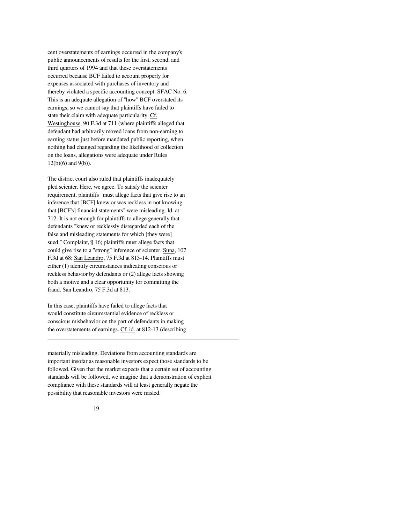cent overstatements of earnings occurred in the company's public announcements of results for the first, second, and third quarters of 1994 and that these overstatements occurred because BCF failed to account properly for expenses associated with purchases of inventory and thereby violated a specific accounting concept: SFAC No. 6. This is an adequate allegation of "how" BCF overstated its earnings, so we cannot say that plaintiffs have failed to state their claim with adequate particularity. Cf. Westinghouse, 90 F.3d at 711 (where plaintiffs alleged that defendant had arbitrarily moved loans from non-earning to earning status just before mandated public reporting, when nothing had changed regarding the likelihood of collection on the loans, allegations were adequate under Rules 12(b)(6) and 9(b)).

The district court also ruled that plaintiffs inadequately pled scienter. Here, we agree. To satisfy the scienter requirement, plaintiffs "must allege facts that give rise to an inference that [BCF] knew or was reckless in not knowing that [BCF's] financial statements" were misleading. Id. at 712. It is not enough for plaintiffs to allege generally that defendants "knew or recklessly disregarded each of the false and misleading statements for which [they were] sued," Complaint, ¶ 16; plaintiffs must allege facts that could give rise to a "strong" inference of scienter. Suna, 107 F.3d at 68; San Leandro, 75 F.3d at 813-14. Plaintiffs must either (1) identify circumstances indicating conscious or reckless behavior by defendants or (2) allege facts showing both a motive and a clear opportunity for committing the fraud. San Leandro, 75 F.3d at 813.

In this case, plaintiffs have failed to allege facts that would constitute circumstantial evidence of reckless or conscious misbehavior on the part of defendants in making the overstatements of earnings. Cf. id. at 812-13 (describing

materially misleading. Deviations from accounting standards are important insofar as reasonable investors expect those standards to be followed. Given that the market expects that a certain set of accounting standards will be followed, we imagine that a demonstration of explicit compliance with these standards will at least generally negate the possibility that reasonable investors were misled.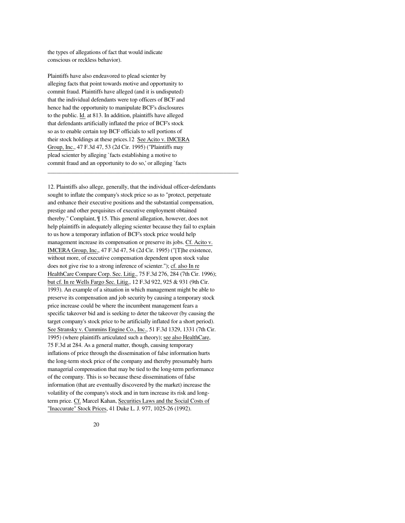the types of allegations of fact that would indicate conscious or reckless behavior).

Plaintiffs have also endeavored to plead scienter by alleging facts that point towards motive and opportunity to commit fraud. Plaintiffs have alleged (and it is undisputed) that the individual defendants were top officers of BCF and hence had the opportunity to manipulate BCF's disclosures to the public. Id. at 813. In addition, plaintiffs have alleged that defendants artificially inflated the price of BCF's stock so as to enable certain top BCF officials to sell portions of their stock holdings at these prices.12 See Acito v. IMCERA Group, Inc., 47 F.3d 47, 53 (2d Cir. 1995) ("Plaintiffs may plead scienter by alleging `facts establishing a motive to commit fraud and an opportunity to do so,' or alleging `facts

\_\_\_\_\_\_\_\_\_\_\_\_\_\_\_\_\_\_\_\_\_\_\_\_\_\_\_\_\_\_\_\_\_\_\_\_\_\_\_\_\_\_\_\_\_\_\_\_\_\_\_\_\_\_\_\_\_\_\_\_\_\_\_\_\_

12. Plaintiffs also allege, generally, that the individual officer-defendants sought to inflate the company's stock price so as to "protect, perpetuate and enhance their executive positions and the substantial compensation, prestige and other perquisites of executive employment obtained thereby." Complaint, ¶ 15. This general allegation, however, does not help plaintiffs in adequately alleging scienter because they fail to explain to us how a temporary inflation of BCF's stock price would help management increase its compensation or preserve its jobs. Cf. Acito v. IMCERA Group, Inc., 47 F.3d 47, 54 (2d Cir. 1995) ("[T]he existence, without more, of executive compensation dependent upon stock value does not give rise to a strong inference of scienter."); cf. also In re HealthCare Compare Corp. Sec. Litig., 75 F.3d 276, 284 (7th Cir. 1996); but cf. In re Wells Fargo Sec. Litig., 12 F.3d 922, 925 & 931 (9th Cir. 1993). An example of a situation in which management might be able to preserve its compensation and job security by causing a temporary stock price increase could be where the incumbent management fears a specific takeover bid and is seeking to deter the takeover (by causing the target company's stock price to be artificially inflated for a short period). See Stransky v. Cummins Engine Co., Inc., 51 F.3d 1329, 1331 (7th Cir. 1995) (where plaintiffs articulated such a theory); see also HealthCare, 75 F.3d at 284. As a general matter, though, causing temporary inflations of price through the dissemination of false information hurts the long-term stock price of the company and thereby presumably hurts managerial compensation that may be tied to the long-term performance of the company. This is so because these disseminations of false information (that are eventually discovered by the market) increase the volatility of the company's stock and in turn increase its risk and longterm price. Cf. Marcel Kahan, Securities Laws and the Social Costs of "Inaccurate" Stock Prices, 41 Duke L. J. 977, 1025-26 (1992).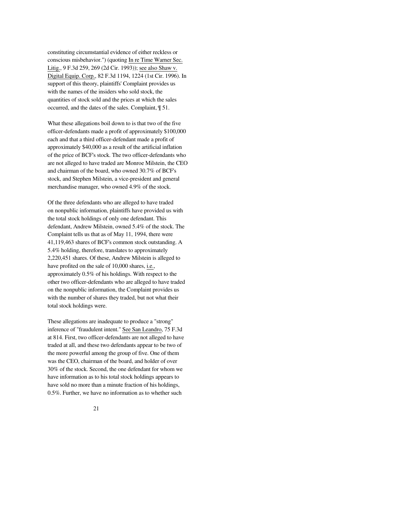constituting circumstantial evidence of either reckless or conscious misbehavior.") (quoting In re Time Warner Sec. Litig., 9 F.3d 259, 269 (2d Cir. 1993)); see also Shaw v. Digital Equip. Corp., 82 F.3d 1194, 1224 (1st Cir. 1996). In support of this theory, plaintiffs' Complaint provides us with the names of the insiders who sold stock, the quantities of stock sold and the prices at which the sales occurred, and the dates of the sales. Complaint, ¶ 51.

What these allegations boil down to is that two of the five officer-defendants made a profit of approximately \$100,000 each and that a third officer-defendant made a profit of approximately \$40,000 as a result of the artificial inflation of the price of BCF's stock. The two officer-defendants who are not alleged to have traded are Monroe Milstein, the CEO and chairman of the board, who owned 30.7% of BCF's stock, and Stephen Milstein, a vice-president and general merchandise manager, who owned 4.9% of the stock.

Of the three defendants who are alleged to have traded on nonpublic information, plaintiffs have provided us with the total stock holdings of only one defendant. This defendant, Andrew Milstein, owned 5.4% of the stock. The Complaint tells us that as of May 11, 1994, there were 41,119,463 shares of BCF's common stock outstanding. A 5.4% holding, therefore, translates to approximately 2,220,451 shares. Of these, Andrew Milstein is alleged to have profited on the sale of 10,000 shares, i.e., approximately 0.5% of his holdings. With respect to the other two officer-defendants who are alleged to have traded on the nonpublic information, the Complaint provides us with the number of shares they traded, but not what their total stock holdings were.

These allegations are inadequate to produce a "strong" inference of "fraudulent intent." See San Leandro, 75 F.3d at 814. First, two officer-defendants are not alleged to have traded at all, and these two defendants appear to be two of the more powerful among the group of five. One of them was the CEO, chairman of the board, and holder of over 30% of the stock. Second, the one defendant for whom we have information as to his total stock holdings appears to have sold no more than a minute fraction of his holdings, 0.5%. Further, we have no information as to whether such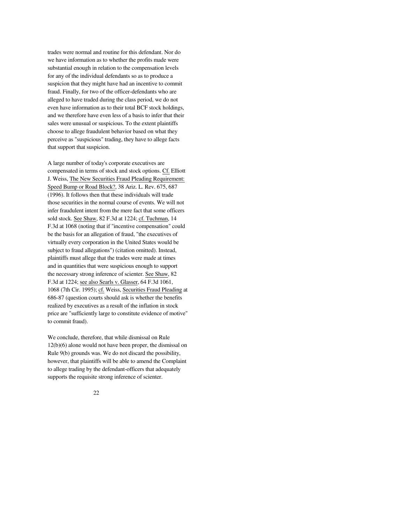trades were normal and routine for this defendant. Nor do we have information as to whether the profits made were substantial enough in relation to the compensation levels for any of the individual defendants so as to produce a suspicion that they might have had an incentive to commit fraud. Finally, for two of the officer-defendants who are alleged to have traded during the class period, we do not even have information as to their total BCF stock holdings, and we therefore have even less of a basis to infer that their sales were unusual or suspicious. To the extent plaintiffs choose to allege fraudulent behavior based on what they perceive as "suspicious" trading, they have to allege facts that support that suspicion.

A large number of today's corporate executives are compensated in terms of stock and stock options. Cf. Elliott J. Weiss, The New Securities Fraud Pleading Requirement: Speed Bump or Road Block?, 38 Ariz. L. Rev. 675, 687 (1996). It follows then that these individuals will trade those securities in the normal course of events. We will not infer fraudulent intent from the mere fact that some officers sold stock. See Shaw, 82 F.3d at 1224; cf. Tuchman, 14 F.3d at 1068 (noting that if "incentive compensation" could be the basis for an allegation of fraud, "the executives of virtually every corporation in the United States would be subject to fraud allegations") (citation omitted). Instead, plaintiffs must allege that the trades were made at times and in quantities that were suspicious enough to support the necessary strong inference of scienter. See Shaw, 82 F.3d at 1224; see also Searls v. Glasser, 64 F.3d 1061, 1068 (7th Cir. 1995); cf. Weiss, Securities Fraud Pleading at 686-87 (question courts should ask is whether the benefits realized by executives as a result of the inflation in stock price are "sufficiently large to constitute evidence of motive" to commit fraud).

We conclude, therefore, that while dismissal on Rule 12(b)(6) alone would not have been proper, the dismissal on Rule 9(b) grounds was. We do not discard the possibility, however, that plaintiffs will be able to amend the Complaint to allege trading by the defendant-officers that adequately supports the requisite strong inference of scienter.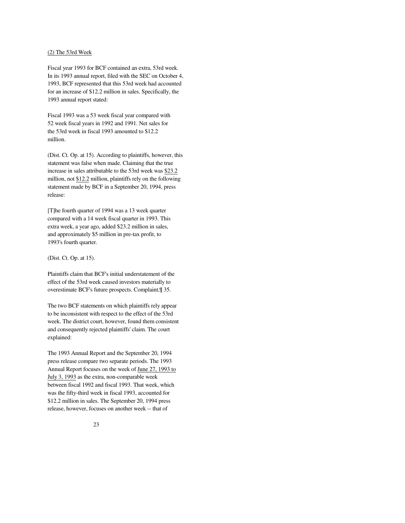## (2) The 53rd Week

Fiscal year 1993 for BCF contained an extra, 53rd week. In its 1993 annual report, filed with the SEC on October 4, 1993, BCF represented that this 53rd week had accounted for an increase of \$12.2 million in sales. Specifically, the 1993 annual report stated:

Fiscal 1993 was a 53 week fiscal year compared with 52 week fiscal years in 1992 and 1991. Net sales for the 53rd week in fiscal 1993 amounted to \$12.2 million.

(Dist. Ct. Op. at 15). According to plaintiffs, however, this statement was false when made. Claiming that the true increase in sales attributable to the 53rd week was \$23.2 million, not \$12.2 million, plaintiffs rely on the following statement made by BCF in a September 20, 1994, press release:

[T]he fourth quarter of 1994 was a 13 week quarter compared with a 14 week fiscal quarter in 1993. This extra week, a year ago, added \$23.2 million in sales, and approximately \$5 million in pre-tax profit, to 1993's fourth quarter.

# (Dist. Ct. Op. at 15).

Plaintiffs claim that BCF's initial understatement of the effect of the 53rd week caused investors materially to overestimate BCF's future prospects. Complaint,¶ 35.

The two BCF statements on which plaintiffs rely appear to be inconsistent with respect to the effect of the 53rd week. The district court, however, found them consistent and consequently rejected plaintiffs' claim. The court explained:

The 1993 Annual Report and the September 20, 1994 press release compare two separate periods. The 1993 Annual Report focuses on the week of June 27, 1993 to July 3, 1993 as the extra, non-comparable week between fiscal 1992 and fiscal 1993. That week, which was the fifty-third week in fiscal 1993, accounted for \$12.2 million in sales. The September 20, 1994 press release, however, focuses on another week -- that of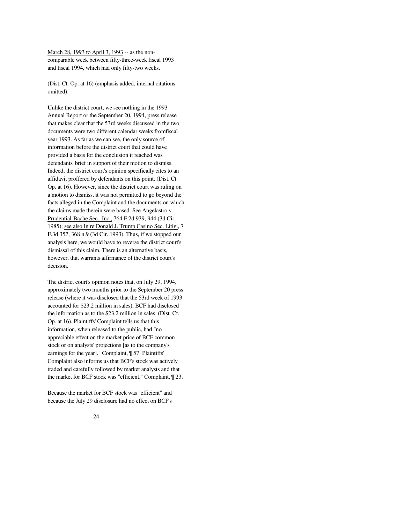March 28, 1993 to April 3, 1993 -- as the noncomparable week between fifty-three-week fiscal 1993 and fiscal 1994, which had only fifty-two weeks.

(Dist. Ct. Op. at 16) (emphasis added; internal citations omitted).

Unlike the district court, we see nothing in the 1993 Annual Report or the September 20, 1994, press release that makes clear that the 53rd weeks discussed in the two documents were two different calendar weeks fromfiscal year 1993. As far as we can see, the only source of information before the district court that could have provided a basis for the conclusion it reached was defendants' brief in support of their motion to dismiss. Indeed, the district court's opinion specifically cites to an affidavit proffered by defendants on this point. (Dist. Ct. Op. at 16). However, since the district court was ruling on a motion to dismiss, it was not permitted to go beyond the facts alleged in the Complaint and the documents on which the claims made therein were based. See Angelastro v. Prudential-Bache Sec., Inc., 764 F.2d 939, 944 (3d Cir. 1985); see also In re Donald J. Trump Casino Sec. Litig., 7 F.3d 357, 368 n.9 (3d Cir. 1993). Thus, if we stopped our analysis here, we would have to reverse the district court's dismissal of this claim. There is an alternative basis, however, that warrants affirmance of the district court's decision.

The district court's opinion notes that, on July 29, 1994, approximately two months prior to the September 20 press release (where it was disclosed that the 53rd week of 1993 accounted for \$23.2 million in sales), BCF had disclosed the information as to the \$23.2 million in sales. (Dist. Ct. Op. at 16). Plaintiffs' Complaint tells us that this information, when released to the public, had "no appreciable effect on the market price of BCF common stock or on analysts' projections [as to the company's earnings for the year]." Complaint, ¶ 57. Plaintiffs' Complaint also informs us that BCF's stock was actively traded and carefully followed by market analysts and that the market for BCF stock was "efficient." Complaint, ¶ 23.

Because the market for BCF stock was "efficient" and because the July 29 disclosure had no effect on BCF's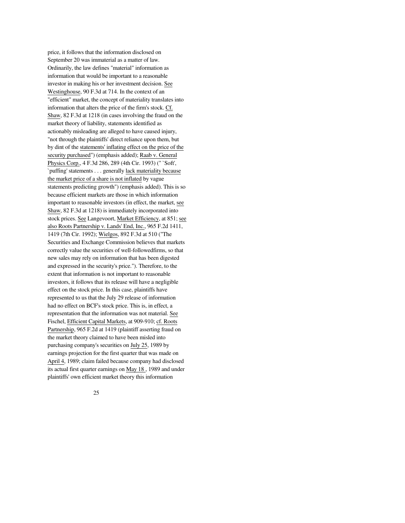price, it follows that the information disclosed on September 20 was immaterial as a matter of law. Ordinarily, the law defines "material" information as information that would be important to a reasonable investor in making his or her investment decision. See Westinghouse, 90 F.3d at 714. In the context of an "efficient" market, the concept of materiality translates into information that alters the price of the firm's stock. Cf. Shaw, 82 F.3d at 1218 (in cases involving the fraud on the market theory of liability, statements identified as actionably misleading are alleged to have caused injury, "not through the plaintiffs' direct reliance upon them, but by dint of the statements' inflating effect on the price of the security purchased") (emphasis added); Raab v. General Physics Corp., 4 F.3d 286, 289 (4th Cir. 1993) (" `Soft', `puffing' statements . . . generally lack materiality because the market price of a share is not inflated by vague statements predicting growth") (emphasis added). This is so because efficient markets are those in which information important to reasonable investors (in effect, the market, see Shaw, 82 F.3d at 1218) is immediately incorporated into stock prices. See Langevoort, Market Efficiency, at 851; see also Roots Partnership v. Lands' End, Inc., 965 F.2d 1411, 1419 (7th Cir. 1992); Wielgos, 892 F.3d at 510 ("The Securities and Exchange Commission believes that markets correctly value the securities of well-followedfirms, so that new sales may rely on information that has been digested and expressed in the security's price."). Therefore, to the extent that information is not important to reasonable investors, it follows that its release will have a negligible effect on the stock price. In this case, plaintiffs have represented to us that the July 29 release of information had no effect on BCF's stock price. This is, in effect, a representation that the information was not material. See Fischel, Efficient Capital Markets, at 909-910; cf. Roots Partnership, 965 F.2d at 1419 (plaintiff asserting fraud on the market theory claimed to have been misled into purchasing company's securities on July 25, 1989 by earnings projection for the first quarter that was made on April 4, 1989; claim failed because company had disclosed its actual first quarter earnings on May 18 , 1989 and under plaintiffs' own efficient market theory this information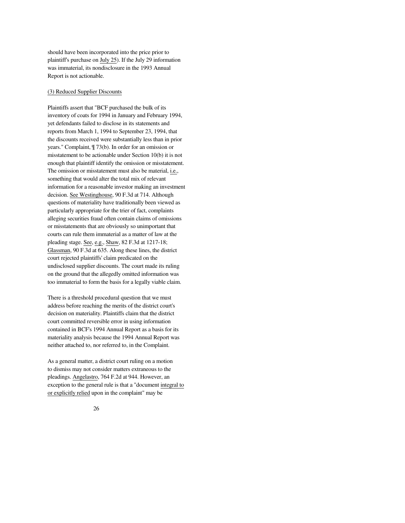should have been incorporated into the price prior to plaintiff's purchase on July 25). If the July 29 information was immaterial, its nondisclosure in the 1993 Annual Report is not actionable.

## (3) Reduced Supplier Discounts

Plaintiffs assert that "BCF purchased the bulk of its inventory of coats for 1994 in January and February 1994, yet defendants failed to disclose in its statements and reports from March 1, 1994 to September 23, 1994, that the discounts received were substantially less than in prior years." Complaint, ¶ 73(b). In order for an omission or misstatement to be actionable under Section 10(b) it is not enough that plaintiff identify the omission or misstatement. The omission or misstatement must also be material, i.e., something that would alter the total mix of relevant information for a reasonable investor making an investment decision. See Westinghouse, 90 F.3d at 714. Although questions of materiality have traditionally been viewed as particularly appropriate for the trier of fact, complaints alleging securities fraud often contain claims of omissions or misstatements that are obviously so unimportant that courts can rule them immaterial as a matter of law at the pleading stage. See, e.g., Shaw, 82 F.3d at 1217-18; Glassman, 90 F.3d at 635. Along these lines, the district court rejected plaintiffs' claim predicated on the undisclosed supplier discounts. The court made its ruling on the ground that the allegedly omitted information was too immaterial to form the basis for a legally viable claim.

There is a threshold procedural question that we must address before reaching the merits of the district court's decision on materiality. Plaintiffs claim that the district court committed reversible error in using information contained in BCF's 1994 Annual Report as a basis for its materiality analysis because the 1994 Annual Report was neither attached to, nor referred to, in the Complaint.

As a general matter, a district court ruling on a motion to dismiss may not consider matters extraneous to the pleadings. Angelastro, 764 F.2d at 944. However, an exception to the general rule is that a "document integral to or explicitly relied upon in the complaint" may be

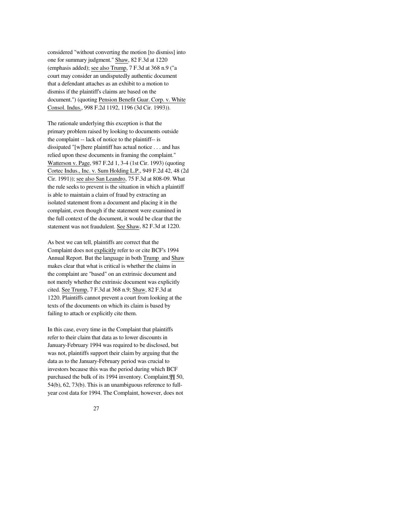considered "without converting the motion [to dismiss] into one for summary judgment." Shaw, 82 F.3d at 1220 (emphasis added); see also Trump, 7 F.3d at 368 n.9 ("a court may consider an undisputedly authentic document that a defendant attaches as an exhibit to a motion to dismiss if the plaintiff's claims are based on the document.") (quoting Pension Benefit Guar. Corp. v. White Consol. Indus., 998 F.2d 1192, 1196 (3d Cir. 1993)).

The rationale underlying this exception is that the primary problem raised by looking to documents outside the complaint -- lack of notice to the plaintiff-- is dissipated "[w]here plaintiff has actual notice . . . and has relied upon these documents in framing the complaint." Watterson v. Page, 987 F.2d 1, 3-4 (1st Cir. 1993) (quoting Cortec Indus., Inc. v. Sum Holding L.P., 949 F.2d 42, 48 (2d Cir. 1991)); see also San Leandro, 75 F.3d at 808-09. What the rule seeks to prevent is the situation in which a plaintiff is able to maintain a claim of fraud by extracting an isolated statement from a document and placing it in the complaint, even though if the statement were examined in the full context of the document, it would be clear that the statement was not fraudulent. See Shaw, 82 F.3d at 1220.

As best we can tell, plaintiffs are correct that the Complaint does not explicitly refer to or cite BCF's 1994 Annual Report. But the language in both Trump and Shaw makes clear that what is critical is whether the claims in the complaint are "based" on an extrinsic document and not merely whether the extrinsic document was explicitly cited. See Trump, 7 F.3d at 368 n.9; Shaw, 82 F.3d at 1220. Plaintiffs cannot prevent a court from looking at the texts of the documents on which its claim is based by failing to attach or explicitly cite them.

In this case, every time in the Complaint that plaintiffs refer to their claim that data as to lower discounts in January-February 1994 was required to be disclosed, but was not, plaintiffs support their claim by arguing that the data as to the January-February period was crucial to investors because this was the period during which BCF purchased the bulk of its 1994 inventory. Complaint,¶¶ 50, 54(b), 62, 73(b). This is an unambiguous reference to fullyear cost data for 1994. The Complaint, however, does not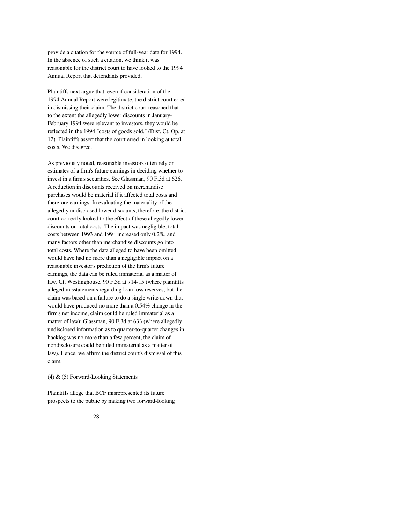provide a citation for the source of full-year data for 1994. In the absence of such a citation, we think it was reasonable for the district court to have looked to the 1994 Annual Report that defendants provided.

Plaintiffs next argue that, even if consideration of the 1994 Annual Report were legitimate, the district court erred in dismissing their claim. The district court reasoned that to the extent the allegedly lower discounts in January-February 1994 were relevant to investors, they would be reflected in the 1994 "costs of goods sold." (Dist. Ct. Op. at 12). Plaintiffs assert that the court erred in looking at total costs. We disagree.

As previously noted, reasonable investors often rely on estimates of a firm's future earnings in deciding whether to invest in a firm's securities. See Glassman, 90 F.3d at 626. A reduction in discounts received on merchandise purchases would be material if it affected total costs and therefore earnings. In evaluating the materiality of the allegedly undisclosed lower discounts, therefore, the district court correctly looked to the effect of these allegedly lower discounts on total costs. The impact was negligible; total costs between 1993 and 1994 increased only 0.2%, and many factors other than merchandise discounts go into total costs. Where the data alleged to have been omitted would have had no more than a negligible impact on a reasonable investor's prediction of the firm's future earnings, the data can be ruled immaterial as a matter of law. Cf. Westinghouse, 90 F.3d at 714-15 (where plaintiffs alleged misstatements regarding loan loss reserves, but the claim was based on a failure to do a single write down that would have produced no more than a 0.54% change in the firm's net income, claim could be ruled immaterial as a matter of law); Glassman, 90 F.3d at 633 (where allegedly undisclosed information as to quarter-to-quarter changes in backlog was no more than a few percent, the claim of nondisclosure could be ruled immaterial as a matter of law). Hence, we affirm the district court's dismissal of this claim.

# (4) & (5) Forward-Looking Statements

Plaintiffs allege that BCF misrepresented its future prospects to the public by making two forward-looking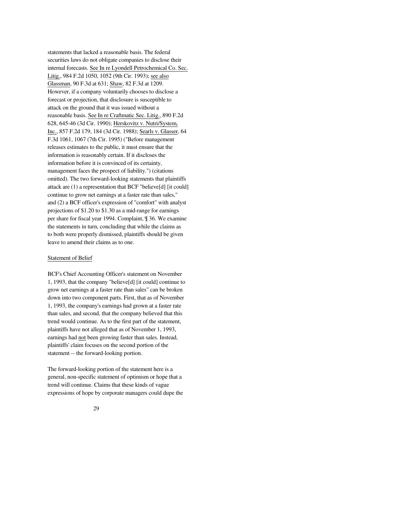statements that lacked a reasonable basis. The federal securities laws do not obligate companies to disclose their internal forecasts. See In re Lyondell Petrochemical Co. Sec. Litig., 984 F.2d 1050, 1052 (9th Cir. 1993); see also Glassman, 90 F.3d at 631; Shaw, 82 F.3d at 1209. However, if a company voluntarily chooses to disclose a forecast or projection, that disclosure is susceptible to attack on the ground that it was issued without a reasonable basis. See In re Craftmatic Sec. Litig., 890 F.2d 628, 645-46 (3d Cir. 1990); Herskovitz v. Nutri/System, Inc., 857 F.2d 179, 184 (3d Cir. 1988); Searls v. Glasser, 64 F.3d 1061, 1067 (7th Cir. 1995) ("Before management releases estimates to the public, it must ensure that the information is reasonably certain. If it discloses the information before it is convinced of its certainty, management faces the prospect of liability.") (citations omitted). The two forward-looking statements that plaintiffs attack are (1) a representation that BCF "believe[d] [it could] continue to grow net earnings at a faster rate than sales," and (2) a BCF officer's expression of "comfort" with analyst projections of \$1.20 to \$1.30 as a mid-range for earnings per share for fiscal year 1994. Complaint, ¶ 36. We examine the statements in turn, concluding that while the claims as to both were properly dismissed, plaintiffs should be given leave to amend their claims as to one.

# Statement of Belief

BCF's Chief Accounting Officer's statement on November 1, 1993, that the company "believe[d] [it could] continue to grow net earnings at a faster rate than sales" can be broken down into two component parts. First, that as of November 1, 1993, the company's earnings had grown at a faster rate than sales, and second, that the company believed that this trend would continue. As to the first part of the statement, plaintiffs have not alleged that as of November 1, 1993, earnings had not been growing faster than sales. Instead, plaintiffs' claim focuses on the second portion of the statement -- the forward-looking portion.

The forward-looking portion of the statement here is a general, non-specific statement of optimism or hope that a trend will continue. Claims that these kinds of vague expressions of hope by corporate managers could dupe the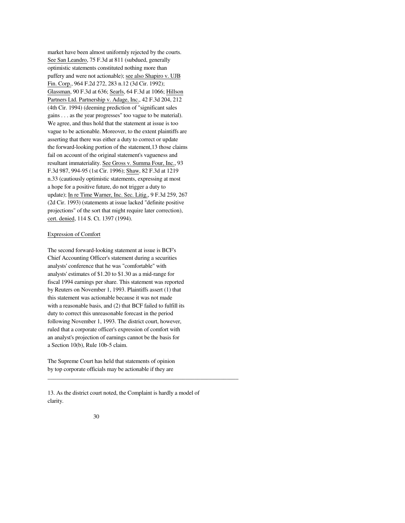market have been almost uniformly rejected by the courts. See San Leandro, 75 F.3d at 811 (subdued, generally optimistic statements constituted nothing more than puffery and were not actionable); see also Shapiro v. UJB Fin. Corp., 964 F.2d 272, 283 n.12 (3d Cir. 1992); Glassman, 90 F.3d at 636; Searls, 64 F.3d at 1066; Hillson Partners Ltd. Partnership v. Adage, Inc., 42 F.3d 204, 212 (4th Cir. 1994) (deeming prediction of "significant sales gains . . . as the year progresses" too vague to be material). We agree, and thus hold that the statement at issue is too vague to be actionable. Moreover, to the extent plaintiffs are asserting that there was either a duty to correct or update the forward-looking portion of the statement,13 those claims fail on account of the original statement's vagueness and resultant immateriality. See Gross v. Summa Four, Inc., 93 F.3d 987, 994-95 (1st Cir. 1996); Shaw, 82 F.3d at 1219 n.33 (cautiously optimistic statements, expressing at most a hope for a positive future, do not trigger a duty to update); In re Time Warner, Inc. Sec. Litig., 9 F.3d 259, 267 (2d Cir. 1993) (statements at issue lacked "definite positive projections" of the sort that might require later correction), cert. denied, 114 S. Ct. 1397 (1994).

## Expression of Comfort

The second forward-looking statement at issue is BCF's Chief Accounting Officer's statement during a securities analysts' conference that he was "comfortable" with analysts' estimates of \$1.20 to \$1.30 as a mid-range for fiscal 1994 earnings per share. This statement was reported by Reuters on November 1, 1993. Plaintiffs assert (1) that this statement was actionable because it was not made with a reasonable basis, and (2) that BCF failed to fulfill its duty to correct this unreasonable forecast in the period following November 1, 1993. The district court, however, ruled that a corporate officer's expression of comfort with an analyst's projection of earnings cannot be the basis for a Section 10(b), Rule 10b-5 claim.

The Supreme Court has held that statements of opinion by top corporate officials may be actionable if they are

13. As the district court noted, the Complaint is hardly a model of clarity.

\_\_\_\_\_\_\_\_\_\_\_\_\_\_\_\_\_\_\_\_\_\_\_\_\_\_\_\_\_\_\_\_\_\_\_\_\_\_\_\_\_\_\_\_\_\_\_\_\_\_\_\_\_\_\_\_\_\_\_\_\_\_\_\_\_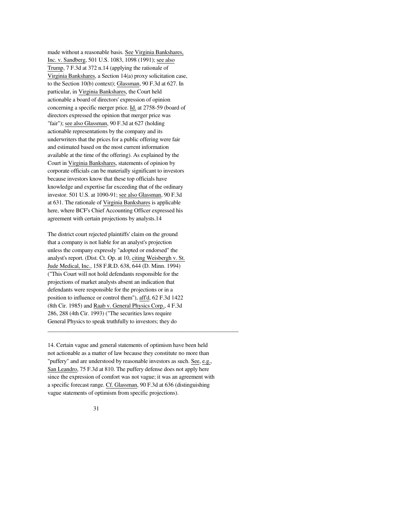made without a reasonable basis. See Virginia Bankshares, Inc. v. Sandberg, 501 U.S. 1083, 1098 (1991); see also Trump, 7 F.3d at 372 n.14 (applying the rationale of Virginia Bankshares, a Section 14(a) proxy solicitation case, to the Section 10(b) context); Glassman, 90 F.3d at 627. In particular, in Virginia Bankshares, the Court held actionable a board of directors' expression of opinion concerning a specific merger price. Id. at 2758-59 (board of directors expressed the opinion that merger price was "fair"); see also Glassman, 90 F.3d at 627 (holding actionable representations by the company and its underwriters that the prices for a public offering were fair and estimated based on the most current information available at the time of the offering). As explained by the Court in Virginia Bankshares, statements of opinion by corporate officials can be materially significant to investors because investors know that these top officials have knowledge and expertise far exceeding that of the ordinary investor. 501 U.S. at 1090-91; see also Glassman, 90 F.3d at 631. The rationale of Virginia Bankshares is applicable here, where BCF's Chief Accounting Officer expressed his agreement with certain projections by analysts.14

The district court rejected plaintiffs' claim on the ground that a company is not liable for an analyst's projection unless the company expressly "adopted or endorsed" the analyst's report. (Dist. Ct. Op. at 10, citing Weisbergh v. St. Jude Medical, Inc., 158 F.R.D. 638, 644 (D. Minn. 1994) ("This Court will not hold defendants responsible for the projections of market analysts absent an indication that defendants were responsible for the projections or in a position to influence or control them"), aff'd, 62 F.3d 1422 (8th Cir. 1985) and Raab v. General Physics Corp., 4 F.3d 286, 288 (4th Cir. 1993) ("The securities laws require General Physics to speak truthfully to investors; they do

14. Certain vague and general statements of optimism have been held not actionable as a matter of law because they constitute no more than "puffery" and are understood by reasonable investors as such. See, e.g., San Leandro, 75 F.3d at 810. The puffery defense does not apply here since the expression of comfort was not vague; it was an agreement with a specific forecast range. Cf. Glassman, 90 F.3d at 636 (distinguishing vague statements of optimism from specific projections).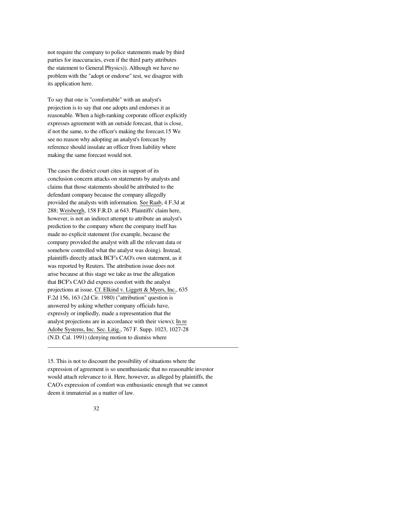not require the company to police statements made by third parties for inaccuracies, even if the third party attributes the statement to General Physics)). Although we have no problem with the "adopt or endorse" test, we disagree with its application here.

To say that one is "comfortable" with an analyst's projection is to say that one adopts and endorses it as reasonable. When a high-ranking corporate officer explicitly expresses agreement with an outside forecast, that is close, if not the same, to the officer's making the forecast.15 We see no reason why adopting an analyst's forecast by reference should insulate an officer from liability where making the same forecast would not.

The cases the district court cites in support of its conclusion concern attacks on statements by analysts and claims that those statements should be attributed to the defendant company because the company allegedly provided the analysts with information. See Raab, 4 F.3d at 288; Weisbergh, 158 F.R.D. at 643. Plaintiffs' claim here, however, is not an indirect attempt to attribute an analyst's prediction to the company where the company itself has made no explicit statement (for example, because the company provided the analyst with all the relevant data or somehow controlled what the analyst was doing). Instead, plaintiffs directly attack BCF's CAO's own statement, as it was reported by Reuters. The attribution issue does not arise because at this stage we take as true the allegation that BCF's CAO did express comfort with the analyst projections at issue. Cf. Elkind v. Liggett & Myers, Inc., 635 F.2d 156, 163 (2d Cir. 1980) ("attribution" question is answered by asking whether company officials have, expressly or impliedly, made a representation that the analyst projections are in accordance with their views); In re Adobe Systems, Inc. Sec. Litig., 767 F. Supp. 1023, 1027-28 (N.D. Cal. 1991) (denying motion to dismiss where

15. This is not to discount the possibility of situations where the expression of agreement is so unenthusiastic that no reasonable investor would attach relevance to it. Here, however, as alleged by plaintiffs, the CAO's expression of comfort was enthusiastic enough that we cannot deem it immaterial as a matter of law.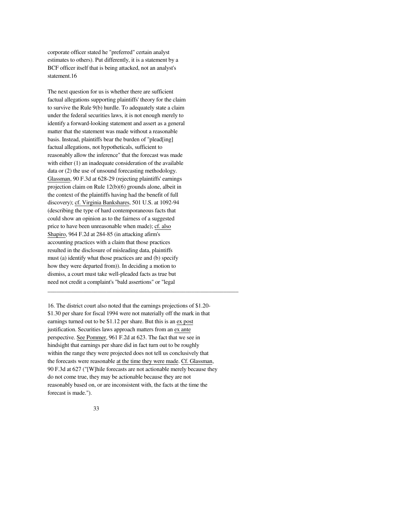corporate officer stated he "preferred" certain analyst estimates to others). Put differently, it is a statement by a BCF officer itself that is being attacked, not an analyst's statement.16

The next question for us is whether there are sufficient factual allegations supporting plaintiffs' theory for the claim to survive the Rule 9(b) hurdle. To adequately state a claim under the federal securities laws, it is not enough merely to identify a forward-looking statement and assert as a general matter that the statement was made without a reasonable basis. Instead, plaintiffs bear the burden of "plead[ing] factual allegations, not hypotheticals, sufficient to reasonably allow the inference" that the forecast was made with either (1) an inadequate consideration of the available data or (2) the use of unsound forecasting methodology. Glassman, 90 F.3d at 628-29 (rejecting plaintiffs' earnings projection claim on Rule 12(b)(6) grounds alone, albeit in the context of the plaintiffs having had the benefit of full discovery); cf. Virginia Bankshares, 501 U.S. at 1092-94 (describing the type of hard contemporaneous facts that could show an opinion as to the fairness of a suggested price to have been unreasonable when made); cf. also Shapiro, 964 F.2d at 284-85 (in attacking afirm's accounting practices with a claim that those practices resulted in the disclosure of misleading data, plaintiffs must (a) identify what those practices are and (b) specify how they were departed from)). In deciding a motion to dismiss, a court must take well-pleaded facts as true but need not credit a complaint's "bald assertions" or "legal

16. The district court also noted that the earnings projections of \$1.20- \$1.30 per share for fiscal 1994 were not materially off the mark in that earnings turned out to be \$1.12 per share. But this is an ex post justification. Securities laws approach matters from an ex ante perspective. See Pommer, 961 F.2d at 623. The fact that we see in hindsight that earnings per share did in fact turn out to be roughly within the range they were projected does not tell us conclusively that the forecasts were reasonable at the time they were made. Cf. Glassman, 90 F.3d at 627 ("[W]hile forecasts are not actionable merely because they do not come true, they may be actionable because they are not reasonably based on, or are inconsistent with, the facts at the time the forecast is made.").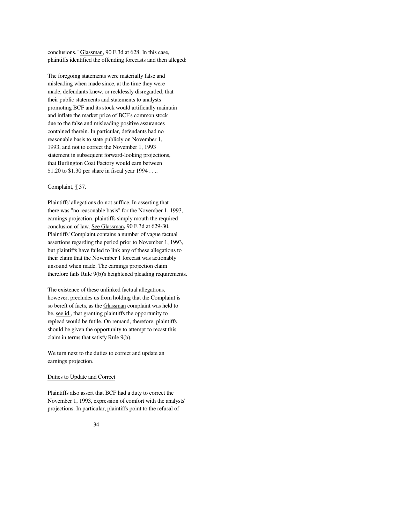conclusions." Glassman, 90 F.3d at 628. In this case, plaintiffs identified the offending forecasts and then alleged:

The foregoing statements were materially false and misleading when made since, at the time they were made, defendants knew, or recklessly disregarded, that their public statements and statements to analysts promoting BCF and its stock would artificially maintain and inflate the market price of BCF's common stock due to the false and misleading positive assurances contained therein. In particular, defendants had no reasonable basis to state publicly on November 1, 1993, and not to correct the November 1, 1993 statement in subsequent forward-looking projections, that Burlington Coat Factory would earn between \$1.20 to \$1.30 per share in fiscal year 1994 . . ..

# Complaint, ¶ 37.

Plaintiffs' allegations do not suffice. In asserting that there was "no reasonable basis" for the November 1, 1993, earnings projection, plaintiffs simply mouth the required conclusion of law. See Glassman, 90 F.3d at 629-30. Plaintiffs' Complaint contains a number of vague factual assertions regarding the period prior to November 1, 1993, but plaintiffs have failed to link any of these allegations to their claim that the November 1 forecast was actionably unsound when made. The earnings projection claim therefore fails Rule 9(b)'s heightened pleading requirements.

The existence of these unlinked factual allegations, however, precludes us from holding that the Complaint is so bereft of facts, as the Glassman complaint was held to be, see id., that granting plaintiffs the opportunity to replead would be futile. On remand, therefore, plaintiffs should be given the opportunity to attempt to recast this claim in terms that satisfy Rule 9(b).

We turn next to the duties to correct and update an earnings projection.

## Duties to Update and Correct

Plaintiffs also assert that BCF had a duty to correct the November 1, 1993, expression of comfort with the analysts' projections. In particular, plaintiffs point to the refusal of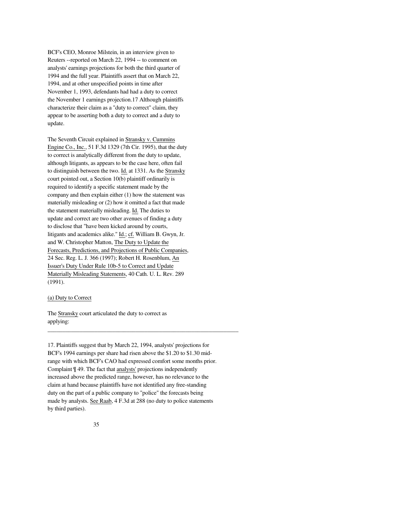BCF's CEO, Monroe Milstein, in an interview given to Reuters --reported on March 22, 1994 -- to comment on analysts' earnings projections for both the third quarter of 1994 and the full year. Plaintiffs assert that on March 22, 1994, and at other unspecified points in time after November 1, 1993, defendants had had a duty to correct the November 1 earnings projection.17 Although plaintiffs characterize their claim as a "duty to correct" claim, they appear to be asserting both a duty to correct and a duty to update.

The Seventh Circuit explained in Stransky v. Cummins Engine Co., Inc., 51 F.3d 1329 (7th Cir. 1995), that the duty to correct is analytically different from the duty to update, although litigants, as appears to be the case here, often fail to distinguish between the two. Id. at 1331. As the Stransky court pointed out, a Section 10(b) plaintiff ordinarily is required to identify a specific statement made by the company and then explain either (1) how the statement was materially misleading or (2) how it omitted a fact that made the statement materially misleading. Id. The duties to update and correct are two other avenues of finding a duty to disclose that "have been kicked around by courts, litigants and academics alike." Id.; cf. William B. Gwyn, Jr. and W. Christopher Matton, The Duty to Update the Forecasts, Predictions, and Projections of Public Companies, 24 Sec. Reg. L. J. 366 (1997); Robert H. Rosenblum, An Issuer's Duty Under Rule 10b-5 to Correct and Update Materially Misleading Statements, 40 Cath. U. L. Rev. 289 (1991).

# (a) Duty to Correct

The Stransky court articulated the duty to correct as applying:

17. Plaintiffs suggest that by March 22, 1994, analysts' projections for BCF's 1994 earnings per share had risen above the \$1.20 to \$1.30 midrange with which BCF's CAO had expressed comfort some months prior. Complaint ¶ 49. The fact that analysts' projections independently increased above the predicted range, however, has no relevance to the claim at hand because plaintiffs have not identified any free-standing duty on the part of a public company to "police" the forecasts being made by analysts. See Raab, 4 F.3d at 288 (no duty to police statements by third parties).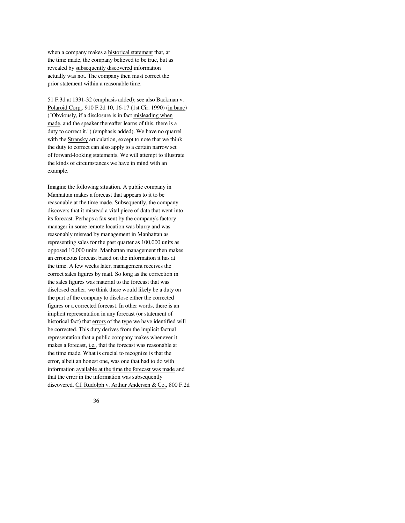when a company makes a historical statement that, at the time made, the company believed to be true, but as revealed by subsequently discovered information actually was not. The company then must correct the prior statement within a reasonable time.

51 F.3d at 1331-32 (emphasis added); see also Backman v. Polaroid Corp., 910 F.2d 10, 16-17 (1st Cir. 1990) (in banc) ("Obviously, if a disclosure is in fact misleading when made, and the speaker thereafter learns of this, there is a duty to correct it.") (emphasis added). We have no quarrel with the Stransky articulation, except to note that we think the duty to correct can also apply to a certain narrow set of forward-looking statements. We will attempt to illustrate the kinds of circumstances we have in mind with an example.

Imagine the following situation. A public company in Manhattan makes a forecast that appears to it to be reasonable at the time made. Subsequently, the company discovers that it misread a vital piece of data that went into its forecast. Perhaps a fax sent by the company's factory manager in some remote location was blurry and was reasonably misread by management in Manhattan as representing sales for the past quarter as 100,000 units as opposed 10,000 units. Manhattan management then makes an erroneous forecast based on the information it has at the time. A few weeks later, management receives the correct sales figures by mail. So long as the correction in the sales figures was material to the forecast that was disclosed earlier, we think there would likely be a duty on the part of the company to disclose either the corrected figures or a corrected forecast. In other words, there is an implicit representation in any forecast (or statement of historical fact) that errors of the type we have identified will be corrected. This duty derives from the implicit factual representation that a public company makes whenever it makes a forecast, i.e., that the forecast was reasonable at the time made. What is crucial to recognize is that the error, albeit an honest one, was one that had to do with information available at the time the forecast was made and that the error in the information was subsequently discovered. Cf. Rudolph v. Arthur Andersen & Co., 800 F.2d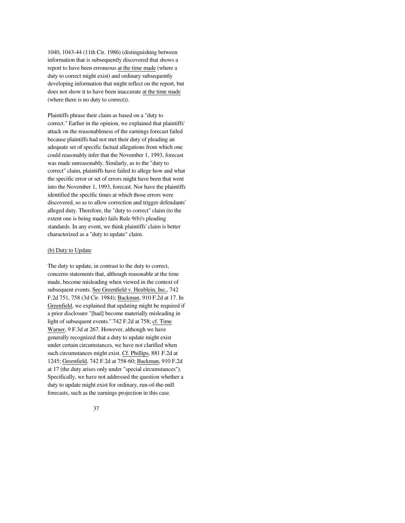1040, 1043-44 (11th Cir. 1986) (distinguishing between information that is subsequently discovered that shows a report to have been erroneous at the time made (where a duty to correct might exist) and ordinary subsequently developing information that might reflect on the report, but does not show it to have been inaccurate at the time made (where there is no duty to correct)).

Plaintiffs phrase their claim as based on a "duty to correct." Earlier in the opinion, we explained that plaintiffs' attack on the reasonableness of the earnings forecast failed because plaintiffs had not met their duty of pleading an adequate set of specific factual allegations from which one could reasonably infer that the November 1, 1993, forecast was made unreasonably. Similarly, as to the "duty to correct" claim, plaintiffs have failed to allege how and what the specific error or set of errors might have been that went into the November 1, 1993, forecast. Nor have the plaintiffs identified the specific times at which those errors were discovered, so as to allow correction and trigger defendants' alleged duty. Therefore, the "duty to correct" claim (to the extent one is being made) fails Rule 9(b)'s pleading standards. In any event, we think plaintiffs' claim is better characterized as a "duty to update" claim.

# (b) Duty to Update

The duty to update, in contrast to the duty to correct, concerns statements that, although reasonable at the time made, become misleading when viewed in the context of subsequent events. See Greenfield v. Heublein, Inc., 742 F.2d 751, 758 (3d Cir. 1984); Backman, 910 F.2d at 17. In Greenfield, we explained that updating might be required if a prior disclosure "[had] become materially misleading in light of subsequent events." 742 F.2d at 758; cf. Time Warner, 9 F.3d at 267. However, although we have generally recognized that a duty to update might exist under certain circumstances, we have not clarified when such circumstances might exist. Cf. Phillips, 881 F.2d at 1245; Greenfield, 742 F.2d at 758-60; Backman, 910 F.2d at 17 (the duty arises only under "special circumstances"). Specifically, we have not addressed the question whether a duty to update might exist for ordinary, run-of-the-mill forecasts, such as the earnings projection in this case.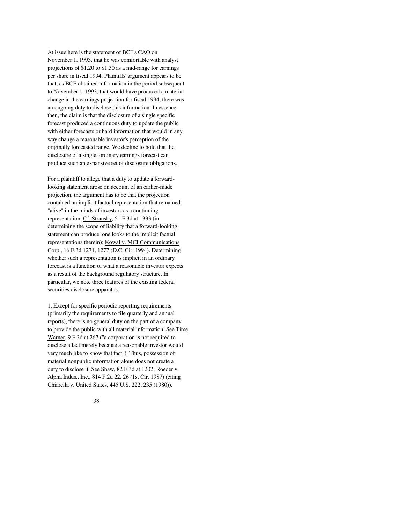At issue here is the statement of BCF's CAO on November 1, 1993, that he was comfortable with analyst projections of \$1.20 to \$1.30 as a mid-range for earnings per share in fiscal 1994. Plaintiffs' argument appears to be that, as BCF obtained information in the period subsequent to November 1, 1993, that would have produced a material change in the earnings projection for fiscal 1994, there was an ongoing duty to disclose this information. In essence then, the claim is that the disclosure of a single specific forecast produced a continuous duty to update the public with either forecasts or hard information that would in any way change a reasonable investor's perception of the originally forecasted range. We decline to hold that the disclosure of a single, ordinary earnings forecast can produce such an expansive set of disclosure obligations.

For a plaintiff to allege that a duty to update a forwardlooking statement arose on account of an earlier-made projection, the argument has to be that the projection contained an implicit factual representation that remained "alive" in the minds of investors as a continuing representation. Cf. Stransky, 51 F.3d at 1333 (in determining the scope of liability that a forward-looking statement can produce, one looks to the implicit factual representations therein); Kowal v. MCI Communications Corp., 16 F.3d 1271, 1277 (D.C. Cir. 1994). Determining whether such a representation is implicit in an ordinary forecast is a function of what a reasonable investor expects as a result of the background regulatory structure. In particular, we note three features of the existing federal securities disclosure apparatus:

1. Except for specific periodic reporting requirements (primarily the requirements to file quarterly and annual reports), there is no general duty on the part of a company to provide the public with all material information. See Time Warner, 9 F.3d at 267 ("a corporation is not required to disclose a fact merely because a reasonable investor would very much like to know that fact"). Thus, possession of material nonpublic information alone does not create a duty to disclose it. See Shaw, 82 F.3d at 1202; Roeder v. Alpha Indus., Inc., 814 F.2d 22, 26 (1st Cir. 1987) (citing Chiarella v. United States, 445 U.S. 222, 235 (1980)).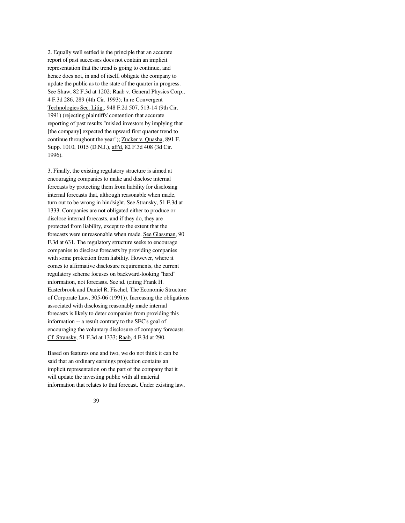2. Equally well settled is the principle that an accurate report of past successes does not contain an implicit representation that the trend is going to continue, and hence does not, in and of itself, obligate the company to update the public as to the state of the quarter in progress. See Shaw, 82 F.3d at 1202; Raab v. General Physics Corp., 4 F.3d 286, 289 (4th Cir. 1993); In re Convergent Technologies Sec. Litig., 948 F.2d 507, 513-14 (9th Cir. 1991) (rejecting plaintiffs' contention that accurate reporting of past results "misled investors by implying that [the company] expected the upward first quarter trend to continue throughout the year"); Zucker v. Quasha, 891 F. Supp. 1010, 1015 (D.N.J.), aff'd, 82 F.3d 408 (3d Cir. 1996).

3. Finally, the existing regulatory structure is aimed at encouraging companies to make and disclose internal forecasts by protecting them from liability for disclosing internal forecasts that, although reasonable when made, turn out to be wrong in hindsight. See Stransky, 51 F.3d at 1333. Companies are not obligated either to produce or disclose internal forecasts, and if they do, they are protected from liability, except to the extent that the forecasts were unreasonable when made. See Glassman, 90 F.3d at 631. The regulatory structure seeks to encourage companies to disclose forecasts by providing companies with some protection from liability. However, where it comes to affirmative disclosure requirements, the current regulatory scheme focuses on backward-looking "hard" information, not forecasts. See id. (citing Frank H. Easterbrook and Daniel R. Fischel, The Economic Structure of Corporate Law, 305-06 (1991)). Increasing the obligations associated with disclosing reasonably made internal forecasts is likely to deter companies from providing this information -- a result contrary to the SEC's goal of encouraging the voluntary disclosure of company forecasts. Cf. Stransky, 51 F.3d at 1333; Raab, 4 F.3d at 290.

Based on features one and two, we do not think it can be said that an ordinary earnings projection contains an implicit representation on the part of the company that it will update the investing public with all material information that relates to that forecast. Under existing law,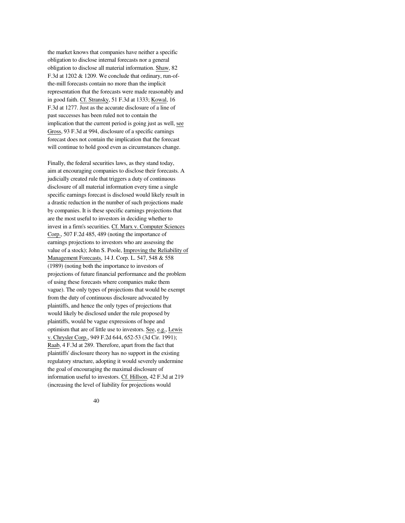the market knows that companies have neither a specific obligation to disclose internal forecasts nor a general obligation to disclose all material information. Shaw, 82 F.3d at 1202 & 1209. We conclude that ordinary, run-ofthe-mill forecasts contain no more than the implicit representation that the forecasts were made reasonably and in good faith. Cf. Stransky, 51 F.3d at 1333; Kowal, 16 F.3d at 1277. Just as the accurate disclosure of a line of past successes has been ruled not to contain the implication that the current period is going just as well, see Gross, 93 F.3d at 994, disclosure of a specific earnings forecast does not contain the implication that the forecast will continue to hold good even as circumstances change.

Finally, the federal securities laws, as they stand today, aim at encouraging companies to disclose their forecasts. A judicially created rule that triggers a duty of continuous disclosure of all material information every time a single specific earnings forecast is disclosed would likely result in a drastic reduction in the number of such projections made by companies. It is these specific earnings projections that are the most useful to investors in deciding whether to invest in a firm's securities. Cf. Marx v. Computer Sciences Corp., 507 F.2d 485, 489 (noting the importance of earnings projections to investors who are assessing the value of a stock); John S. Poole, Improving the Reliability of Management Forecasts, 14 J. Corp. L. 547, 548 & 558 (1989) (noting both the importance to investors of projections of future financial performance and the problem of using these forecasts where companies make them vague). The only types of projections that would be exempt from the duty of continuous disclosure advocated by plaintiffs, and hence the only types of projections that would likely be disclosed under the rule proposed by plaintiffs, would be vague expressions of hope and optimism that are of little use to investors. See, e.g., Lewis v. Chrysler Corp., 949 F.2d 644, 652-53 (3d Cir. 1991); Raab, 4 F.3d at 289. Therefore, apart from the fact that plaintiffs' disclosure theory has no support in the existing regulatory structure, adopting it would severely undermine the goal of encouraging the maximal disclosure of information useful to investors. Cf. Hillson, 42 F.3d at 219 (increasing the level of liability for projections would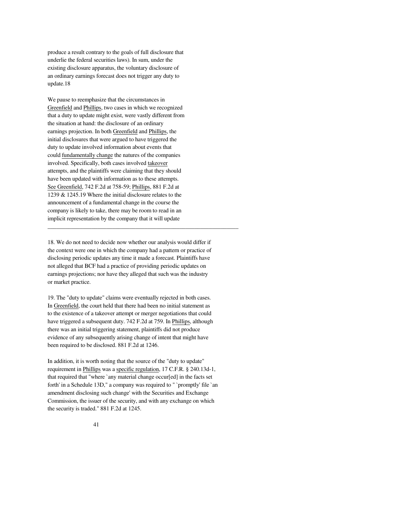produce a result contrary to the goals of full disclosure that underlie the federal securities laws). In sum, under the existing disclosure apparatus, the voluntary disclosure of an ordinary earnings forecast does not trigger any duty to update.18

We pause to reemphasize that the circumstances in Greenfield and Phillips, two cases in which we recognized that a duty to update might exist, were vastly different from the situation at hand: the disclosure of an ordinary earnings projection. In both Greenfield and Phillips, the initial disclosures that were argued to have triggered the duty to update involved information about events that could fundamentally change the natures of the companies involved. Specifically, both cases involved takeover attempts, and the plaintiffs were claiming that they should have been updated with information as to these attempts. See Greenfield, 742 F.2d at 758-59; Phillips, 881 F.2d at 1239 & 1245.19 Where the initial disclosure relates to the announcement of a fundamental change in the course the company is likely to take, there may be room to read in an implicit representation by the company that it will update

18. We do not need to decide now whether our analysis would differ if the context were one in which the company had a pattern or practice of disclosing periodic updates any time it made a forecast. Plaintiffs have not alleged that BCF had a practice of providing periodic updates on earnings projections; nor have they alleged that such was the industry or market practice.

\_\_\_\_\_\_\_\_\_\_\_\_\_\_\_\_\_\_\_\_\_\_\_\_\_\_\_\_\_\_\_\_\_\_\_\_\_\_\_\_\_\_\_\_\_\_\_\_\_\_\_\_\_\_\_\_\_\_\_\_\_\_\_\_\_

19. The "duty to update" claims were eventually rejected in both cases. In Greenfield, the court held that there had been no initial statement as to the existence of a takeover attempt or merger negotiations that could have triggered a subsequent duty. 742 F.2d at 759. In Phillips, although there was an initial triggering statement, plaintiffs did not produce evidence of any subsequently arising change of intent that might have been required to be disclosed. 881 F.2d at 1246.

In addition, it is worth noting that the source of the "duty to update" requirement in Phillips was a specific regulation, 17 C.F.R. § 240.13d-1, that required that "where `any material change occur[ed] in the facts set forth' in a Schedule 13D," a company was required to " `promptly' file `an amendment disclosing such change' with the Securities and Exchange Commission, the issuer of the security, and with any exchange on which the security is traded." 881 F.2d at 1245.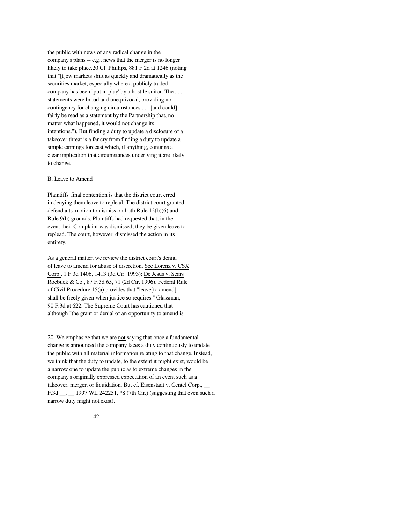the public with news of any radical change in the company's plans -- e.g., news that the merger is no longer likely to take place.20 Cf. Phillips, 881 F.2d at 1246 (noting that "[f]ew markets shift as quickly and dramatically as the securities market, especially where a publicly traded company has been `put in play' by a hostile suitor. The . . . statements were broad and unequivocal, providing no contingency for changing circumstances . . . [and could] fairly be read as a statement by the Partnership that, no matter what happened, it would not change its intentions."). But finding a duty to update a disclosure of a takeover threat is a far cry from finding a duty to update a simple earnings forecast which, if anything, contains a clear implication that circumstances underlying it are likely to change.

# B. Leave to Amend

Plaintiffs' final contention is that the district court erred in denying them leave to replead. The district court granted defendants' motion to dismiss on both Rule 12(b)(6) and Rule 9(b) grounds. Plaintiffs had requested that, in the event their Complaint was dismissed, they be given leave to replead. The court, however, dismissed the action in its entirety.

As a general matter, we review the district court's denial of leave to amend for abuse of discretion. See Lorenz v. CSX Corp., 1 F.3d 1406, 1413 (3d Cir. 1993); De Jesus v. Sears Roebuck & Co., 87 F.3d 65, 71 (2d Cir. 1996). Federal Rule of Civil Procedure 15(a) provides that "leave[to amend] shall be freely given when justice so requires." Glassman, 90 F.3d at 622. The Supreme Court has cautioned that although "the grant or denial of an opportunity to amend is

20. We emphasize that we are not saying that once a fundamental change is announced the company faces a duty continuously to update the public with all material information relating to that change. Instead, we think that the duty to update, to the extent it might exist, would be a narrow one to update the public as to extreme changes in the company's originally expressed expectation of an event such as a takeover, merger, or liquidation. But cf. Eisenstadt v. Centel Corp., \_\_ F.3d \_\_, \_\_ 1997 WL 242251, \*8 (7th Cir.) (suggesting that even such a narrow duty might not exist).

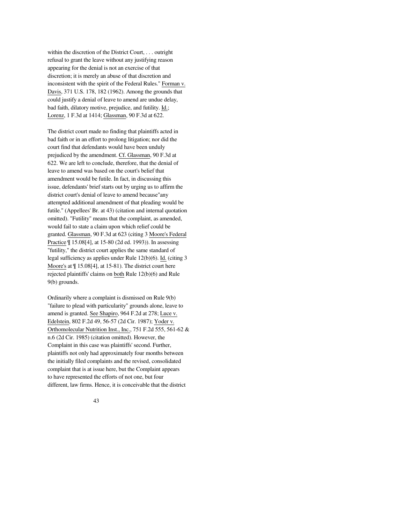within the discretion of the District Court, . . . outright refusal to grant the leave without any justifying reason appearing for the denial is not an exercise of that discretion; it is merely an abuse of that discretion and inconsistent with the spirit of the Federal Rules." Forman v. Davis, 371 U.S. 178, 182 (1962). Among the grounds that could justify a denial of leave to amend are undue delay, bad faith, dilatory motive, prejudice, and futility. Id.; Lorenz, 1 F.3d at 1414; Glassman, 90 F.3d at 622.

The district court made no finding that plaintiffs acted in bad faith or in an effort to prolong litigation; nor did the court find that defendants would have been unduly prejudiced by the amendment. Cf. Glassman, 90 F.3d at 622. We are left to conclude, therefore, that the denial of leave to amend was based on the court's belief that amendment would be futile. In fact, in discussing this issue, defendants' brief starts out by urging us to affirm the district court's denial of leave to amend because"any attempted additional amendment of that pleading would be futile." (Appellees' Br. at 43) (citation and internal quotation omitted). "Futility" means that the complaint, as amended, would fail to state a claim upon which relief could be granted. Glassman, 90 F.3d at 623 (citing 3 Moore's Federal Practice ¶ 15.08[4], at 15-80 (2d ed. 1993)). In assessing "futility," the district court applies the same standard of legal sufficiency as applies under Rule 12(b)(6). Id. (citing 3 Moore's at  $\P$  15.08[4], at 15-81). The district court here rejected plaintiffs' claims on both Rule 12(b)(6) and Rule 9(b) grounds.

Ordinarily where a complaint is dismissed on Rule 9(b) "failure to plead with particularity" grounds alone, leave to amend is granted. See Shapiro, 964 F.2d at 278; Luce v. Edelstein, 802 F.2d 49, 56-57 (2d Cir. 1987); Yoder v. Orthomolecular Nutrition Inst., Inc., 751 F.2d 555, 561-62 & n.6 (2d Cir. 1985) (citation omitted). However, the Complaint in this case was plaintiffs' second. Further, plaintiffs not only had approximately four months between the initially filed complaints and the revised, consolidated complaint that is at issue here, but the Complaint appears to have represented the efforts of not one, but four different, law firms. Hence, it is conceivable that the district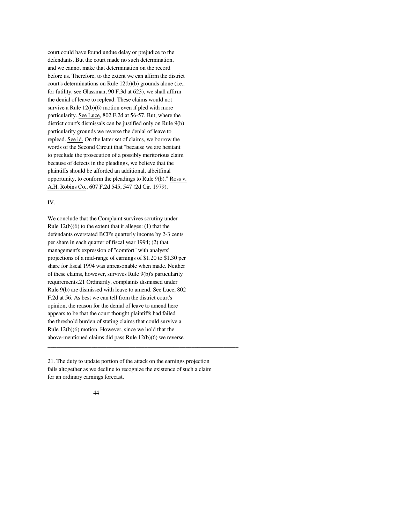court could have found undue delay or prejudice to the defendants. But the court made no such determination, and we cannot make that determination on the record before us. Therefore, to the extent we can affirm the district court's determinations on Rule 12(b)(b) grounds alone (i.e., for futility, see Glassman, 90 F.3d at 623), we shall affirm the denial of leave to replead. These claims would not survive a Rule  $12(b)(6)$  motion even if pled with more particularity. See Luce, 802 F.2d at 56-57. But, where the district court's dismissals can be justified only on Rule 9(b) particularity grounds we reverse the denial of leave to replead. See id. On the latter set of claims, we borrow the words of the Second Circuit that "because we are hesitant to preclude the prosecution of a possibly meritorious claim because of defects in the pleadings, we believe that the plaintiffs should be afforded an additional, albeitfinal opportunity, to conform the pleadings to Rule 9(b)." Ross v. A.H. Robins Co., 607 F.2d 545, 547 (2d Cir. 1979).

## IV.

We conclude that the Complaint survives scrutiny under Rule  $12(b)(6)$  to the extent that it alleges: (1) that the defendants overstated BCF's quarterly income by 2-3 cents per share in each quarter of fiscal year 1994; (2) that management's expression of "comfort" with analysts' projections of a mid-range of earnings of \$1.20 to \$1.30 per share for fiscal 1994 was unreasonable when made. Neither of these claims, however, survives Rule 9(b)'s particularity requirements.21 Ordinarily, complaints dismissed under Rule 9(b) are dismissed with leave to amend. See Luce, 802 F.2d at 56. As best we can tell from the district court's opinion, the reason for the denial of leave to amend here appears to be that the court thought plaintiffs had failed the threshold burden of stating claims that could survive a Rule 12(b)(6) motion. However, since we hold that the above-mentioned claims did pass Rule 12(b)(6) we reverse

21. The duty to update portion of the attack on the earnings projection fails altogether as we decline to recognize the existence of such a claim for an ordinary earnings forecast.

\_\_\_\_\_\_\_\_\_\_\_\_\_\_\_\_\_\_\_\_\_\_\_\_\_\_\_\_\_\_\_\_\_\_\_\_\_\_\_\_\_\_\_\_\_\_\_\_\_\_\_\_\_\_\_\_\_\_\_\_\_\_\_\_\_